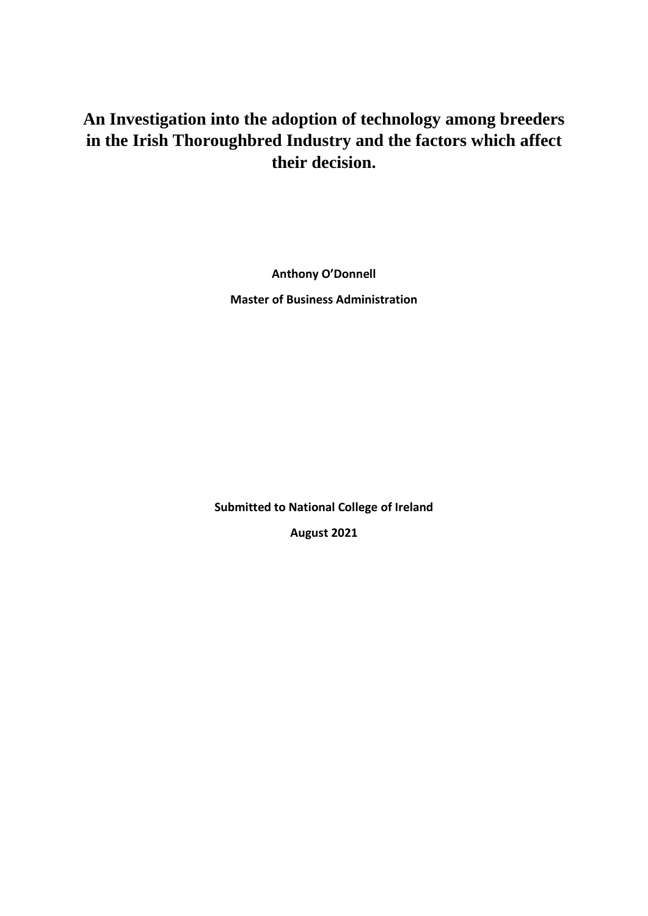# **An Investigation into the adoption of technology among breeders in the Irish Thoroughbred Industry and the factors which affect their decision.**

**Anthony O'Donnell**

**Master of Business Administration**

**Submitted to National College of Ireland August 2021**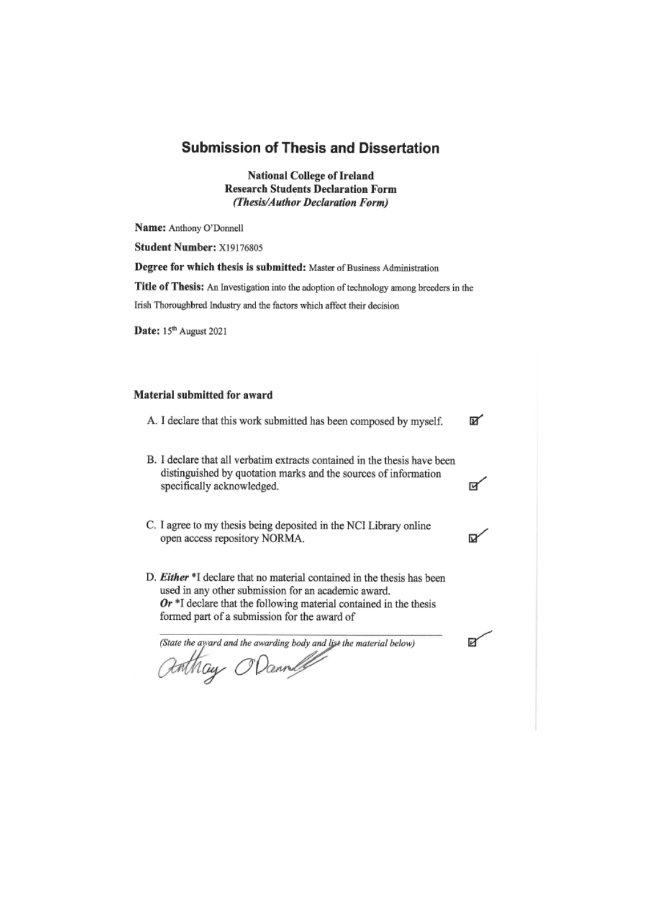## **Submission of Thesis and Dissertation**

**National College of Ireland Research Students Declaration Form** (Thesis/Author Declaration Form)

Name: Anthony O'Donnell

Student Number: X19176805

Degree for which thesis is submitted: Master of Business Administration

Title of Thesis: An Investigation into the adoption of technology among breeders in the

Irish Thoroughbred Industry and the factors which affect their decision

Date: 15th August 2021

#### Material submitted for award

- A. I declare that this work submitted has been composed by myself. ⊠∕
- B. I declare that all verbatim extracts contained in the thesis have been distinguished by quotation marks and the sources of information specifically acknowledged.

দ∕

⋉

Й

- C. I agree to my thesis being deposited in the NCI Library online open access repository NORMA.
- D. Either \*I declare that no material contained in the thesis has been used in any other submission for an academic award.  $Or$ <sup>\*</sup>I declare that the following material contained in the thesis formed part of a submission for the award of

(State the ayard and the awarding body and list the material below)

anthay ODannel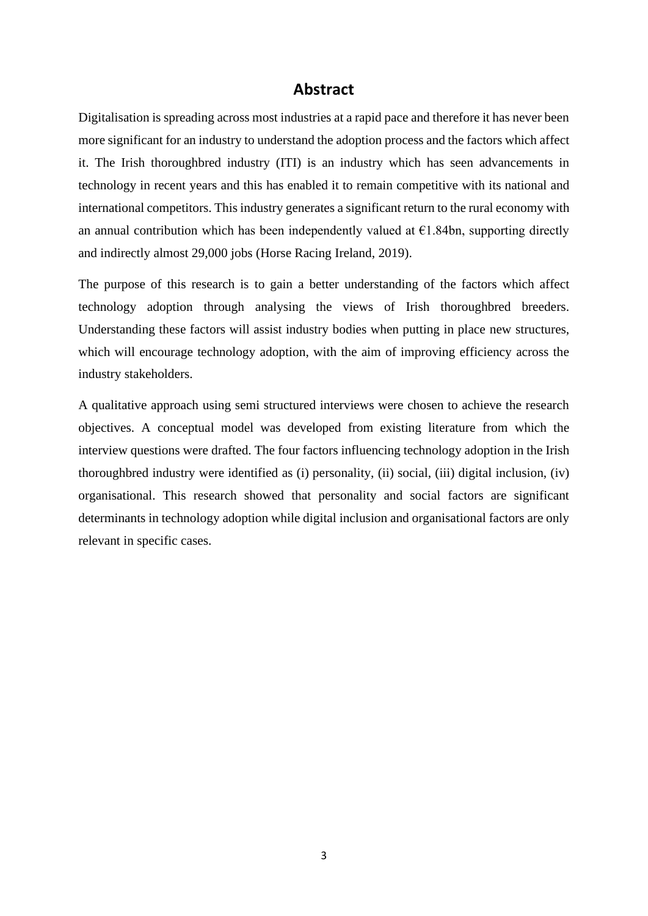## **Abstract**

Digitalisation is spreading across most industries at a rapid pace and therefore it has never been more significant for an industry to understand the adoption process and the factors which affect it. The Irish thoroughbred industry (ITI) is an industry which has seen advancements in technology in recent years and this has enabled it to remain competitive with its national and international competitors. This industry generates a significant return to the rural economy with an annual contribution which has been independently valued at  $\epsilon$ 1.84bn, supporting directly and indirectly almost 29,000 jobs (Horse Racing Ireland, 2019).

The purpose of this research is to gain a better understanding of the factors which affect technology adoption through analysing the views of Irish thoroughbred breeders. Understanding these factors will assist industry bodies when putting in place new structures, which will encourage technology adoption, with the aim of improving efficiency across the industry stakeholders.

A qualitative approach using semi structured interviews were chosen to achieve the research objectives. A conceptual model was developed from existing literature from which the interview questions were drafted. The four factors influencing technology adoption in the Irish thoroughbred industry were identified as (i) personality, (ii) social, (iii) digital inclusion, (iv) organisational. This research showed that personality and social factors are significant determinants in technology adoption while digital inclusion and organisational factors are only relevant in specific cases.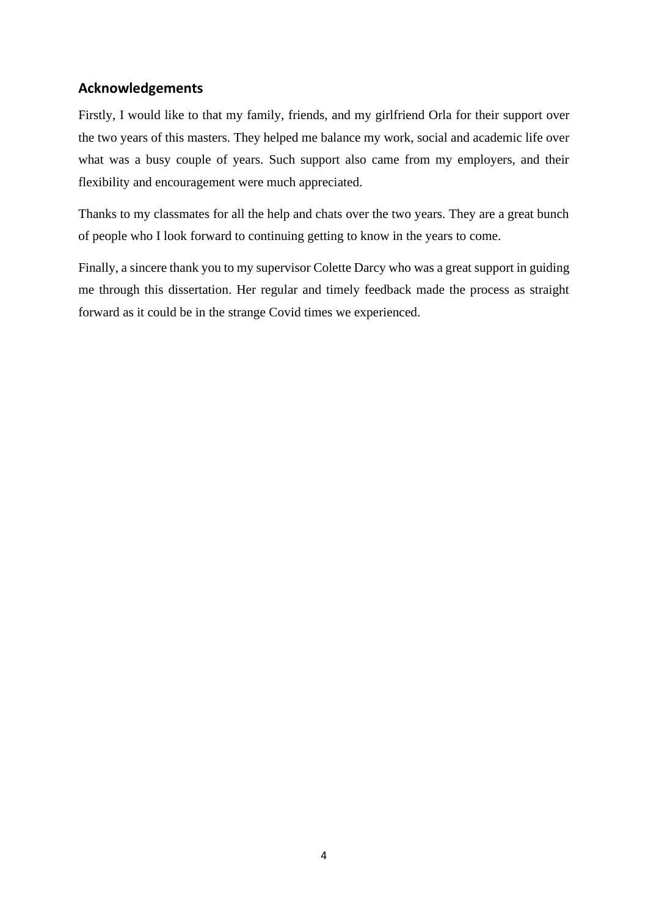## **Acknowledgements**

Firstly, I would like to that my family, friends, and my girlfriend Orla for their support over the two years of this masters. They helped me balance my work, social and academic life over what was a busy couple of years. Such support also came from my employers, and their flexibility and encouragement were much appreciated.

Thanks to my classmates for all the help and chats over the two years. They are a great bunch of people who I look forward to continuing getting to know in the years to come.

Finally, a sincere thank you to my supervisor Colette Darcy who was a great support in guiding me through this dissertation. Her regular and timely feedback made the process as straight forward as it could be in the strange Covid times we experienced.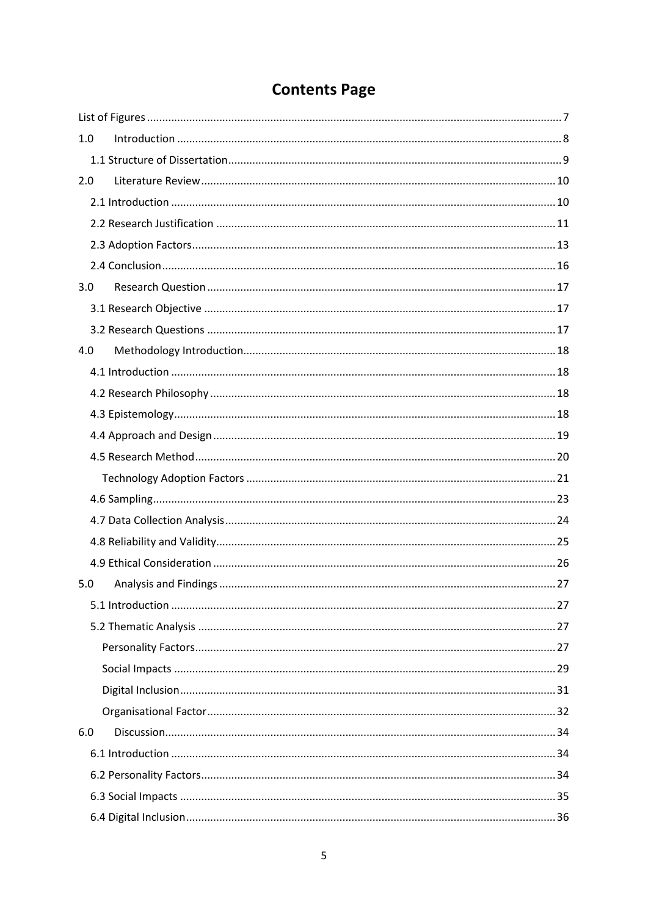# **Contents Page**

| 1.0 |  |
|-----|--|
|     |  |
| 2.0 |  |
|     |  |
|     |  |
|     |  |
|     |  |
| 3.0 |  |
|     |  |
|     |  |
| 4.0 |  |
|     |  |
|     |  |
|     |  |
|     |  |
|     |  |
|     |  |
|     |  |
|     |  |
|     |  |
|     |  |
| 5.0 |  |
|     |  |
|     |  |
|     |  |
|     |  |
|     |  |
|     |  |
| 6.0 |  |
|     |  |
|     |  |
|     |  |
|     |  |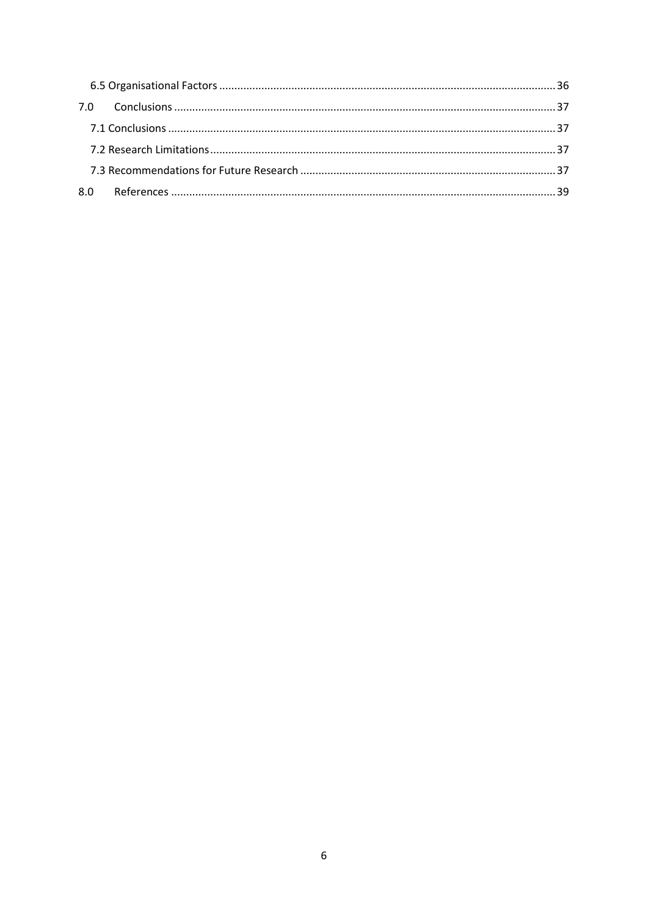<span id="page-5-0"></span>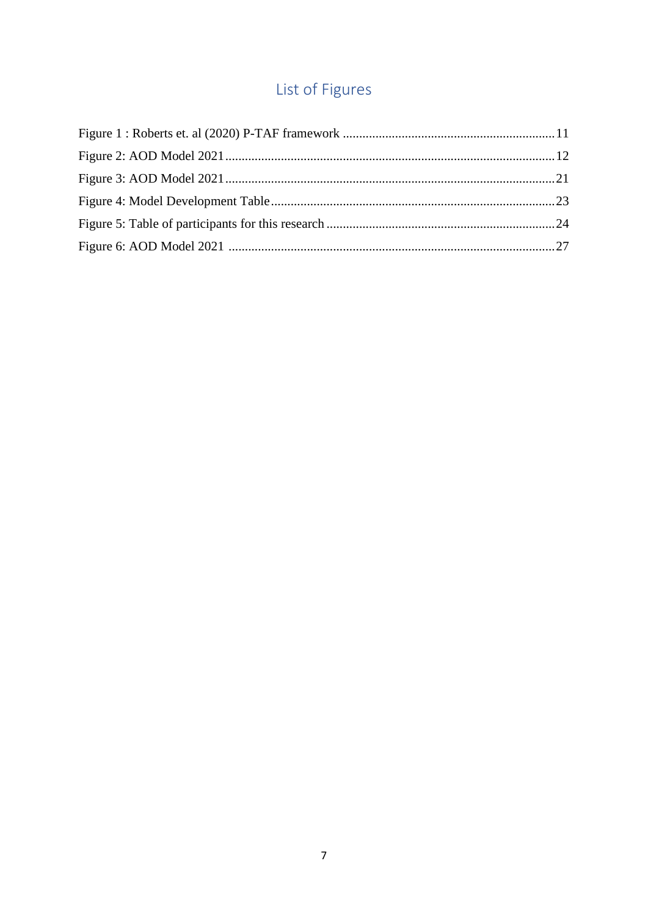# List of Figures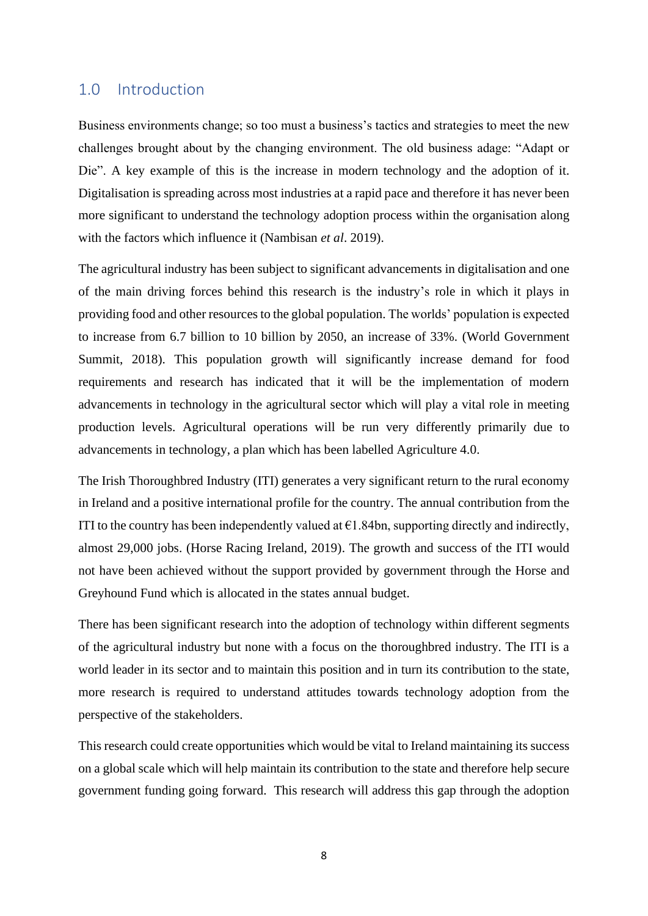## <span id="page-7-0"></span>1.0 Introduction

Business environments change; so too must a business's tactics and strategies to meet the new challenges brought about by the changing environment. The old business adage: "Adapt or Die". A key example of this is the increase in modern technology and the adoption of it. Digitalisation is spreading across most industries at a rapid pace and therefore it has never been more significant to understand the technology adoption process within the organisation along with the factors which influence it (Nambisan *et al*. 2019).

The agricultural industry has been subject to significant advancements in digitalisation and one of the main driving forces behind this research is the industry's role in which it plays in providing food and other resources to the global population. The worlds' population is expected to increase from 6.7 billion to 10 billion by 2050, an increase of 33%. (World Government Summit, 2018). This population growth will significantly increase demand for food requirements and research has indicated that it will be the implementation of modern advancements in technology in the agricultural sector which will play a vital role in meeting production levels. Agricultural operations will be run very differently primarily due to advancements in technology, a plan which has been labelled Agriculture 4.0.

The Irish Thoroughbred Industry (ITI) generates a very significant return to the rural economy in Ireland and a positive international profile for the country. The annual contribution from the ITI to the country has been independently valued at  $\epsilon$ 1.84bn, supporting directly and indirectly, almost 29,000 jobs. (Horse Racing Ireland, 2019). The growth and success of the ITI would not have been achieved without the support provided by government through the Horse and Greyhound Fund which is allocated in the states annual budget.

There has been significant research into the adoption of technology within different segments of the agricultural industry but none with a focus on the thoroughbred industry. The ITI is a world leader in its sector and to maintain this position and in turn its contribution to the state, more research is required to understand attitudes towards technology adoption from the perspective of the stakeholders.

This research could create opportunities which would be vital to Ireland maintaining its success on a global scale which will help maintain its contribution to the state and therefore help secure government funding going forward. This research will address this gap through the adoption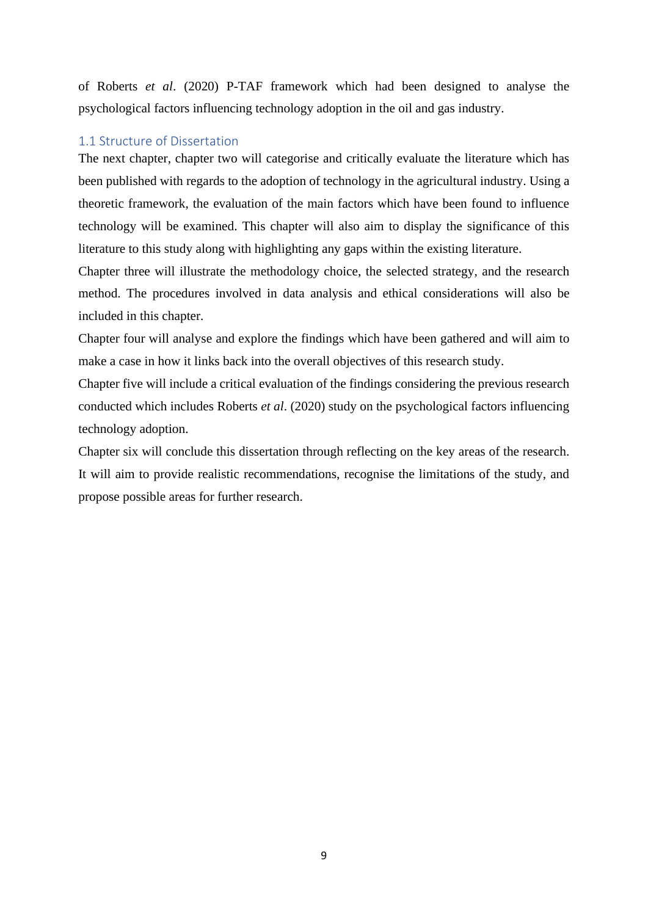of Roberts *et al*. (2020) P-TAF framework which had been designed to analyse the psychological factors influencing technology adoption in the oil and gas industry.

#### <span id="page-8-0"></span>1.1 Structure of Dissertation

The next chapter, chapter two will categorise and critically evaluate the literature which has been published with regards to the adoption of technology in the agricultural industry. Using a theoretic framework, the evaluation of the main factors which have been found to influence technology will be examined. This chapter will also aim to display the significance of this literature to this study along with highlighting any gaps within the existing literature.

Chapter three will illustrate the methodology choice, the selected strategy, and the research method. The procedures involved in data analysis and ethical considerations will also be included in this chapter.

Chapter four will analyse and explore the findings which have been gathered and will aim to make a case in how it links back into the overall objectives of this research study.

Chapter five will include a critical evaluation of the findings considering the previous research conducted which includes Roberts *et al*. (2020) study on the psychological factors influencing technology adoption.

Chapter six will conclude this dissertation through reflecting on the key areas of the research. It will aim to provide realistic recommendations, recognise the limitations of the study, and propose possible areas for further research.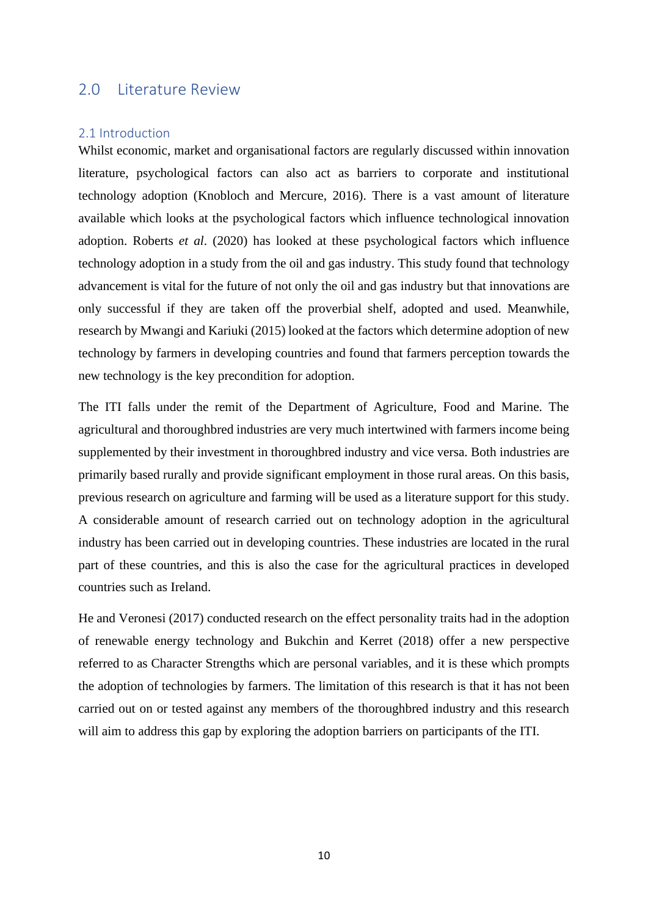## <span id="page-9-0"></span>2.0 Literature Review

### <span id="page-9-1"></span>2.1 Introduction

Whilst economic, market and organisational factors are regularly discussed within innovation literature, psychological factors can also act as barriers to corporate and institutional technology adoption (Knobloch and Mercure, 2016). There is a vast amount of literature available which looks at the psychological factors which influence technological innovation adoption. Roberts *et al*. (2020) has looked at these psychological factors which influence technology adoption in a study from the oil and gas industry. This study found that technology advancement is vital for the future of not only the oil and gas industry but that innovations are only successful if they are taken off the proverbial shelf, adopted and used. Meanwhile, research by Mwangi and Kariuki (2015) looked at the factors which determine adoption of new technology by farmers in developing countries and found that farmers perception towards the new technology is the key precondition for adoption.

The ITI falls under the remit of the Department of Agriculture, Food and Marine. The agricultural and thoroughbred industries are very much intertwined with farmers income being supplemented by their investment in thoroughbred industry and vice versa. Both industries are primarily based rurally and provide significant employment in those rural areas. On this basis, previous research on agriculture and farming will be used as a literature support for this study. A considerable amount of research carried out on technology adoption in the agricultural industry has been carried out in developing countries. These industries are located in the rural part of these countries, and this is also the case for the agricultural practices in developed countries such as Ireland.

He and Veronesi (2017) conducted research on the effect personality traits had in the adoption of renewable energy technology and Bukchin and Kerret (2018) offer a new perspective referred to as Character Strengths which are personal variables, and it is these which prompts the adoption of technologies by farmers. The limitation of this research is that it has not been carried out on or tested against any members of the thoroughbred industry and this research will aim to address this gap by exploring the adoption barriers on participants of the ITI.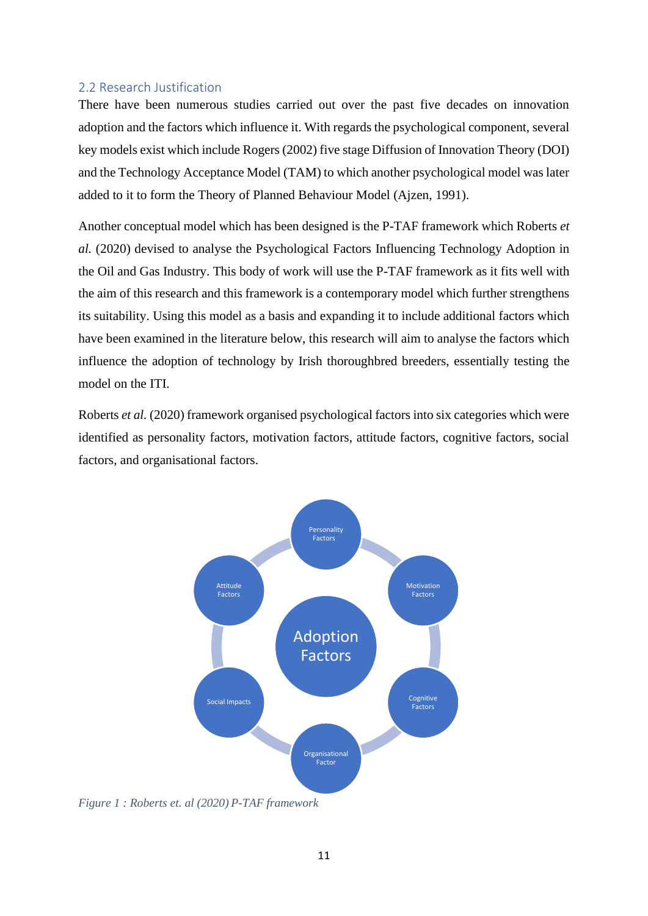## <span id="page-10-0"></span>2.2 Research Justification

There have been numerous studies carried out over the past five decades on innovation adoption and the factors which influence it. With regards the psychological component, several key models exist which include Rogers (2002) five stage Diffusion of Innovation Theory (DOI) and the Technology Acceptance Model (TAM) to which another psychological model was later added to it to form the Theory of Planned Behaviour Model (Ajzen, 1991).

Another conceptual model which has been designed is the P-TAF framework which Roberts *et al.* (2020) devised to analyse the Psychological Factors Influencing Technology Adoption in the Oil and Gas Industry. This body of work will use the P-TAF framework as it fits well with the aim of this research and this framework is a contemporary model which further strengthens its suitability. Using this model as a basis and expanding it to include additional factors which have been examined in the literature below, this research will aim to analyse the factors which influence the adoption of technology by Irish thoroughbred breeders, essentially testing the model on the ITI.

Roberts *et al.* (2020) framework organised psychological factors into six categories which were identified as personality factors, motivation factors, attitude factors, cognitive factors, social factors, and organisational factors.



<span id="page-10-1"></span>*Figure 1 : Roberts et. al (2020) P-TAF framework*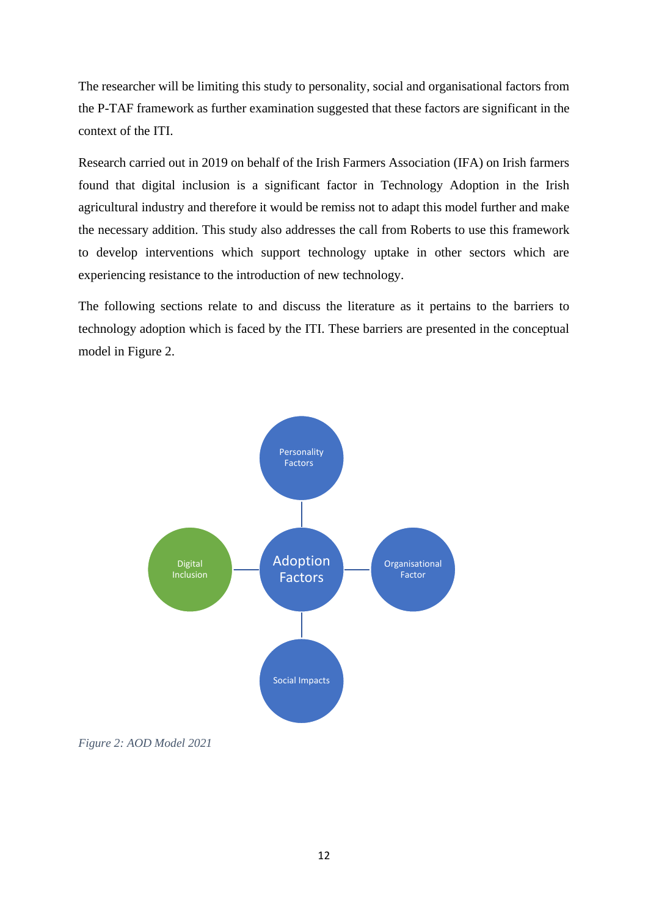The researcher will be limiting this study to personality, social and organisational factors from the P-TAF framework as further examination suggested that these factors are significant in the context of the ITI.

Research carried out in 2019 on behalf of the Irish Farmers Association (IFA) on Irish farmers found that digital inclusion is a significant factor in Technology Adoption in the Irish agricultural industry and therefore it would be remiss not to adapt this model further and make the necessary addition. This study also addresses the call from Roberts to use this framework to develop interventions which support technology uptake in other sectors which are experiencing resistance to the introduction of new technology.

The following sections relate to and discuss the literature as it pertains to the barriers to technology adoption which is faced by the ITI. These barriers are presented in the conceptual model in Figure 2.



<span id="page-11-0"></span>*Figure 2: AOD Model 2021*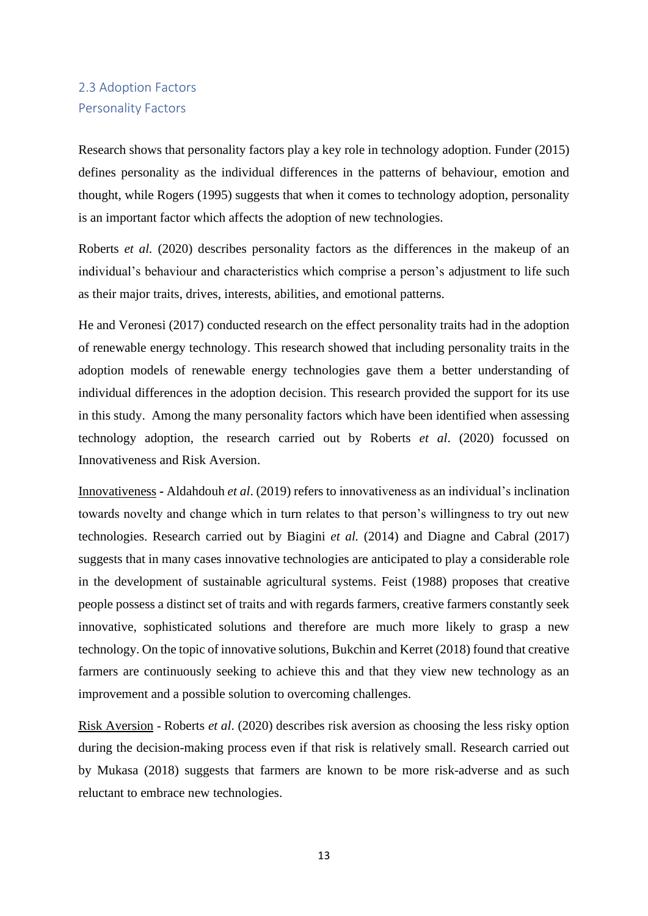## <span id="page-12-0"></span>2.3 Adoption Factors Personality Factors

Research shows that personality factors play a key role in technology adoption. Funder (2015) defines personality as the individual differences in the patterns of behaviour, emotion and thought, while Rogers (1995) suggests that when it comes to technology adoption, personality is an important factor which affects the adoption of new technologies.

Roberts *et al.* (2020) describes personality factors as the differences in the makeup of an individual's behaviour and characteristics which comprise a person's adjustment to life such as their major traits, drives, interests, abilities, and emotional patterns.

He and Veronesi (2017) conducted research on the effect personality traits had in the adoption of renewable energy technology. This research showed that including personality traits in the adoption models of renewable energy technologies gave them a better understanding of individual differences in the adoption decision. This research provided the support for its use in this study. Among the many personality factors which have been identified when assessing technology adoption, the research carried out by Roberts *et al*. (2020) focussed on Innovativeness and Risk Aversion.

Innovativeness **-** Aldahdouh *et al*. (2019) refers to innovativeness as an individual's inclination towards novelty and change which in turn relates to that person's willingness to try out new technologies. Research carried out by Biagini *et al.* (2014) and Diagne and Cabral (2017) suggests that in many cases innovative technologies are anticipated to play a considerable role in the development of sustainable agricultural systems. Feist (1988) proposes that creative people possess a distinct set of traits and with regards farmers, creative farmers constantly seek innovative, sophisticated solutions and therefore are much more likely to grasp a new technology. On the topic of innovative solutions, Bukchin and Kerret (2018) found that creative farmers are continuously seeking to achieve this and that they view new technology as an improvement and a possible solution to overcoming challenges.

Risk Aversion **-** Roberts *et al*. (2020) describes risk aversion as choosing the less risky option during the decision-making process even if that risk is relatively small. Research carried out by Mukasa (2018) suggests that farmers are known to be more risk-adverse and as such reluctant to embrace new technologies.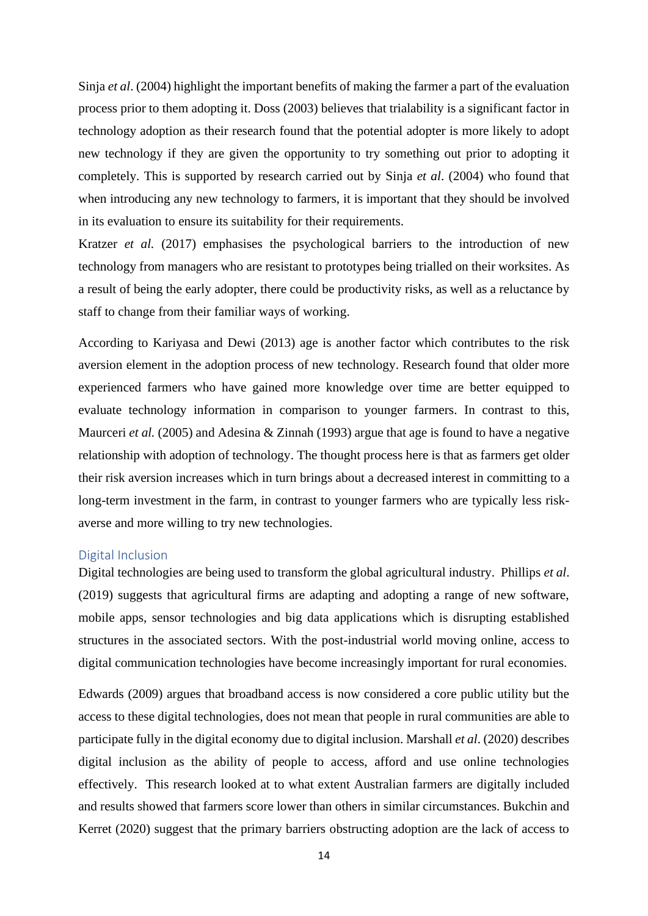Sinja *et al*. (2004) highlight the important benefits of making the farmer a part of the evaluation process prior to them adopting it. Doss (2003) believes that trialability is a significant factor in technology adoption as their research found that the potential adopter is more likely to adopt new technology if they are given the opportunity to try something out prior to adopting it completely. This is supported by research carried out by Sinja *et al*. (2004) who found that when introducing any new technology to farmers, it is important that they should be involved in its evaluation to ensure its suitability for their requirements.

Kratzer *et al.* (2017) emphasises the psychological barriers to the introduction of new technology from managers who are resistant to prototypes being trialled on their worksites. As a result of being the early adopter, there could be productivity risks, as well as a reluctance by staff to change from their familiar ways of working.

According to Kariyasa and Dewi (2013) age is another factor which contributes to the risk aversion element in the adoption process of new technology. Research found that older more experienced farmers who have gained more knowledge over time are better equipped to evaluate technology information in comparison to younger farmers. In contrast to this, Maurceri *et al.* (2005) and Adesina & Zinnah (1993) argue that age is found to have a negative relationship with adoption of technology. The thought process here is that as farmers get older their risk aversion increases which in turn brings about a decreased interest in committing to a long-term investment in the farm, in contrast to younger farmers who are typically less riskaverse and more willing to try new technologies.

### Digital Inclusion

Digital technologies are being used to transform the global agricultural industry. Phillips *et al*. (2019) suggests that agricultural firms are adapting and adopting a range of new software, mobile apps, sensor technologies and big data applications which is disrupting established structures in the associated sectors. With the post-industrial world moving online, access to digital communication technologies have become increasingly important for rural economies.

Edwards (2009) argues that broadband access is now considered a core public utility but the access to these digital technologies, does not mean that people in rural communities are able to participate fully in the digital economy due to digital inclusion. Marshall *et al*. (2020) describes digital inclusion as the ability of people to access, afford and use online technologies effectively. This research looked at to what extent Australian farmers are digitally included and results showed that farmers score lower than others in similar circumstances. Bukchin and Kerret (2020) suggest that the primary barriers obstructing adoption are the lack of access to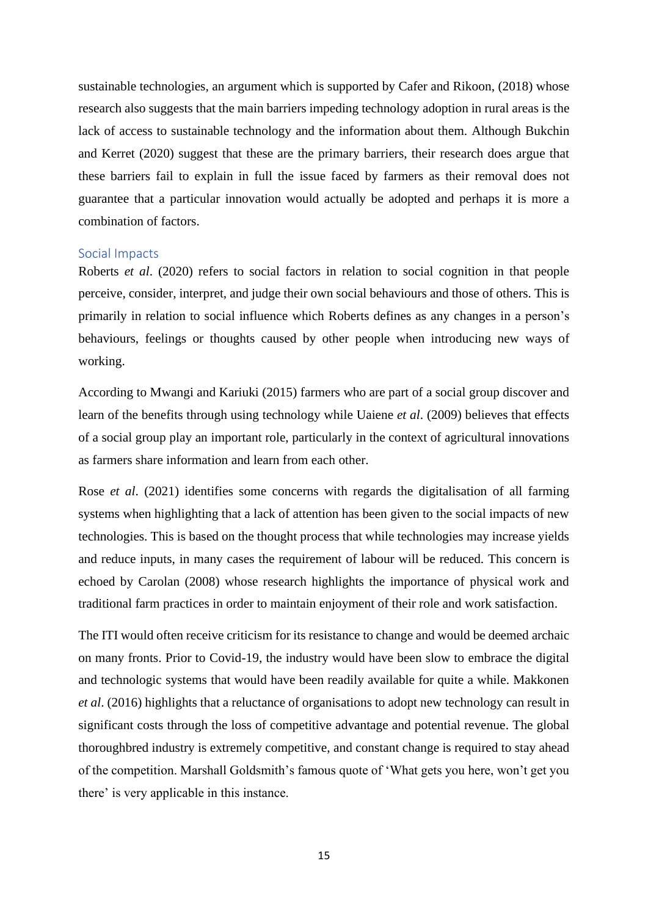sustainable technologies, an argument which is supported by Cafer and Rikoon, (2018) whose research also suggests that the main barriers impeding technology adoption in rural areas is the lack of access to sustainable technology and the information about them. Although Bukchin and Kerret (2020) suggest that these are the primary barriers, their research does argue that these barriers fail to explain in full the issue faced by farmers as their removal does not guarantee that a particular innovation would actually be adopted and perhaps it is more a combination of factors.

#### Social Impacts

Roberts *et al*. (2020) refers to social factors in relation to social cognition in that people perceive, consider, interpret, and judge their own social behaviours and those of others. This is primarily in relation to social influence which Roberts defines as any changes in a person's behaviours, feelings or thoughts caused by other people when introducing new ways of working.

According to Mwangi and Kariuki (2015) farmers who are part of a social group discover and learn of the benefits through using technology while Uaiene *et al*. (2009) believes that effects of a social group play an important role, particularly in the context of agricultural innovations as farmers share information and learn from each other.

Rose *et al*. (2021) identifies some concerns with regards the digitalisation of all farming systems when highlighting that a lack of attention has been given to the social impacts of new technologies. This is based on the thought process that while technologies may increase yields and reduce inputs, in many cases the requirement of labour will be reduced. This concern is echoed by Carolan (2008) whose research highlights the importance of physical work and traditional farm practices in order to maintain enjoyment of their role and work satisfaction.

The ITI would often receive criticism for its resistance to change and would be deemed archaic on many fronts. Prior to Covid-19, the industry would have been slow to embrace the digital and technologic systems that would have been readily available for quite a while. Makkonen *et al*. (2016) highlights that a reluctance of organisations to adopt new technology can result in significant costs through the loss of competitive advantage and potential revenue. The global thoroughbred industry is extremely competitive, and constant change is required to stay ahead of the competition. Marshall Goldsmith's famous quote of 'What gets you here, won't get you there' is very applicable in this instance.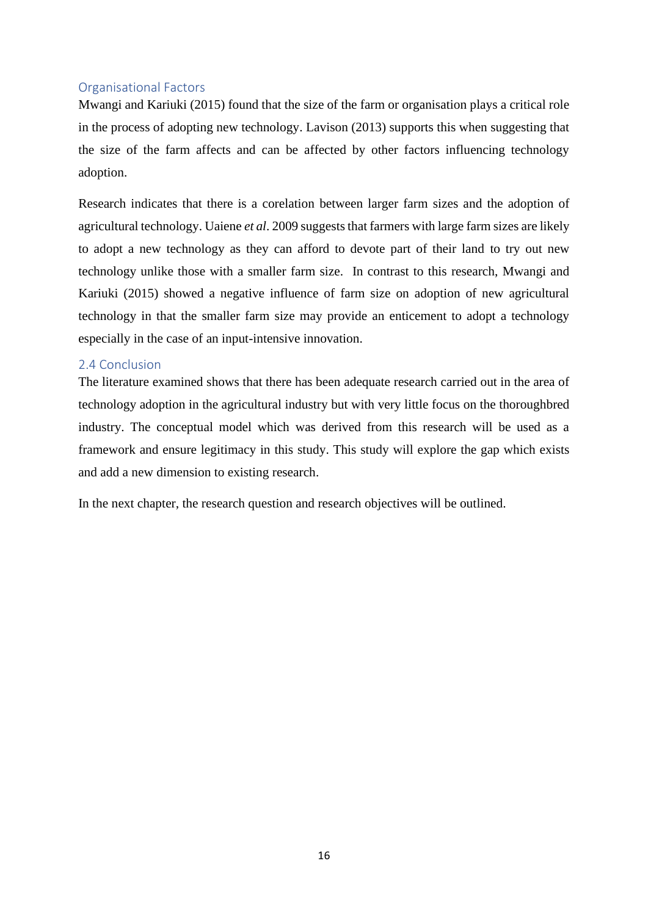## Organisational Factors

Mwangi and Kariuki (2015) found that the size of the farm or organisation plays a critical role in the process of adopting new technology. Lavison (2013) supports this when suggesting that the size of the farm affects and can be affected by other factors influencing technology adoption.

Research indicates that there is a corelation between larger farm sizes and the adoption of agricultural technology. Uaiene *et al*. 2009 suggests that farmers with large farm sizes are likely to adopt a new technology as they can afford to devote part of their land to try out new technology unlike those with a smaller farm size. In contrast to this research, Mwangi and Kariuki (2015) showed a negative influence of farm size on adoption of new agricultural technology in that the smaller farm size may provide an enticement to adopt a technology especially in the case of an input-intensive innovation.

#### <span id="page-15-0"></span>2.4 Conclusion

The literature examined shows that there has been adequate research carried out in the area of technology adoption in the agricultural industry but with very little focus on the thoroughbred industry. The conceptual model which was derived from this research will be used as a framework and ensure legitimacy in this study. This study will explore the gap which exists and add a new dimension to existing research.

In the next chapter, the research question and research objectives will be outlined.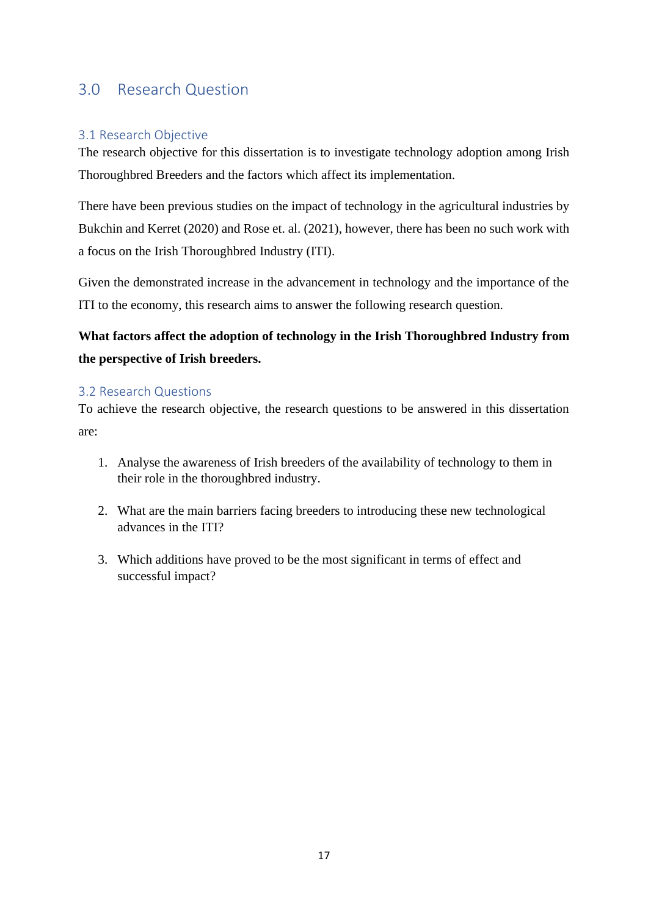## <span id="page-16-0"></span>3.0 Research Question

## <span id="page-16-1"></span>3.1 Research Objective

The research objective for this dissertation is to investigate technology adoption among Irish Thoroughbred Breeders and the factors which affect its implementation.

There have been previous studies on the impact of technology in the agricultural industries by Bukchin and Kerret (2020) and Rose et. al. (2021), however, there has been no such work with a focus on the Irish Thoroughbred Industry (ITI).

Given the demonstrated increase in the advancement in technology and the importance of the ITI to the economy, this research aims to answer the following research question.

## **What factors affect the adoption of technology in the Irish Thoroughbred Industry from the perspective of Irish breeders.**

## <span id="page-16-2"></span>3.2 Research Questions

To achieve the research objective, the research questions to be answered in this dissertation are:

- 1. Analyse the awareness of Irish breeders of the availability of technology to them in their role in the thoroughbred industry.
- 2. What are the main barriers facing breeders to introducing these new technological advances in the ITI?
- 3. Which additions have proved to be the most significant in terms of effect and successful impact?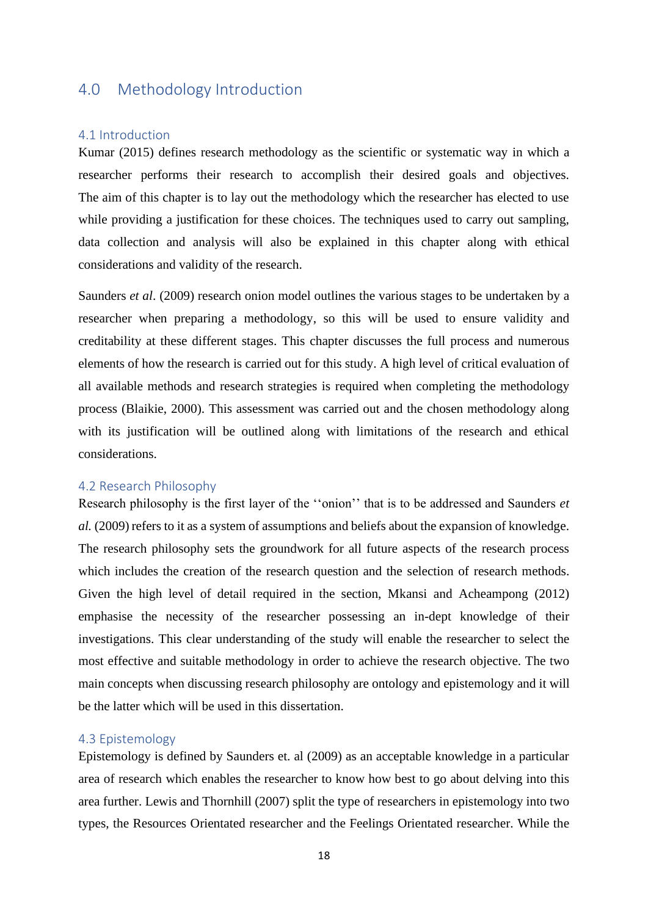## <span id="page-17-0"></span>4.0 Methodology Introduction

#### <span id="page-17-1"></span>4.1 Introduction

Kumar (2015) defines research methodology as the scientific or systematic way in which a researcher performs their research to accomplish their desired goals and objectives. The aim of this chapter is to lay out the methodology which the researcher has elected to use while providing a justification for these choices. The techniques used to carry out sampling, data collection and analysis will also be explained in this chapter along with ethical considerations and validity of the research.

Saunders *et al*. (2009) research onion model outlines the various stages to be undertaken by a researcher when preparing a methodology, so this will be used to ensure validity and creditability at these different stages. This chapter discusses the full process and numerous elements of how the research is carried out for this study. A high level of critical evaluation of all available methods and research strategies is required when completing the methodology process (Blaikie, 2000). This assessment was carried out and the chosen methodology along with its justification will be outlined along with limitations of the research and ethical considerations.

#### <span id="page-17-2"></span>4.2 Research Philosophy

Research philosophy is the first layer of the ''onion'' that is to be addressed and Saunders *et al.* (2009) refers to it as a system of assumptions and beliefs about the expansion of knowledge. The research philosophy sets the groundwork for all future aspects of the research process which includes the creation of the research question and the selection of research methods. Given the high level of detail required in the section, Mkansi and Acheampong (2012) emphasise the necessity of the researcher possessing an in-dept knowledge of their investigations. This clear understanding of the study will enable the researcher to select the most effective and suitable methodology in order to achieve the research objective. The two main concepts when discussing research philosophy are ontology and epistemology and it will be the latter which will be used in this dissertation.

#### <span id="page-17-3"></span>4.3 Epistemology

Epistemology is defined by Saunders et. al (2009) as an acceptable knowledge in a particular area of research which enables the researcher to know how best to go about delving into this area further. Lewis and Thornhill (2007) split the type of researchers in epistemology into two types, the Resources Orientated researcher and the Feelings Orientated researcher. While the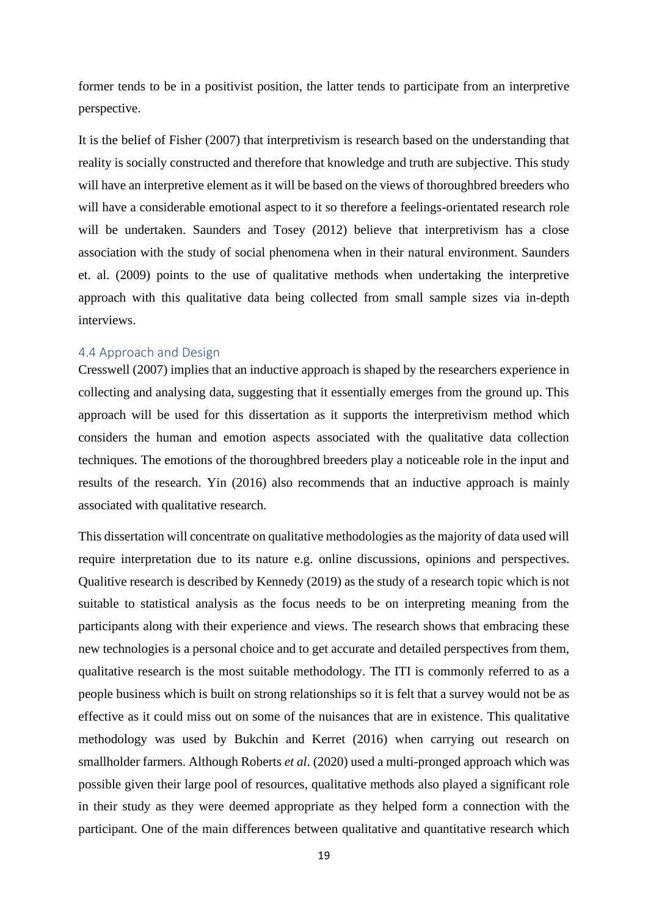former tends to be in a positivist position, the latter tends to participate from an interpretive perspective.

It is the belief of Fisher (2007) that interpretivism is research based on the understanding that reality is socially constructed and therefore that knowledge and truth are subjective. This study will have an interpretive element as it will be based on the views of thoroughbred breeders who will have a considerable emotional aspect to it so therefore a feelings-orientated research role will be undertaken. Saunders and Tosey (2012) believe that interpretivism has a close association with the study of social phenomena when in their natural environment. Saunders et. al. (2009) points to the use of qualitative methods when undertaking the interpretive approach with this qualitative data being collected from small sample sizes via in-depth interviews.

#### <span id="page-18-0"></span>4.4 Approach and Design

Cresswell (2007) implies that an inductive approach is shaped by the researchers experience in collecting and analysing data, suggesting that it essentially emerges from the ground up. This approach will be used for this dissertation as it supports the interpretivism method which considers the human and emotion aspects associated with the qualitative data collection techniques. The emotions of the thoroughbred breeders play a noticeable role in the input and results of the research. Yin (2016) also recommends that an inductive approach is mainly associated with qualitative research.

This dissertation will concentrate on qualitative methodologies as the majority of data used will require interpretation due to its nature e.g. online discussions, opinions and perspectives. Qualitive research is described by Kennedy (2019) as the study of a research topic which is not suitable to statistical analysis as the focus needs to be on interpreting meaning from the participants along with their experience and views. The research shows that embracing these new technologies is a personal choice and to get accurate and detailed perspectives from them, qualitative research is the most suitable methodology. The ITI is commonly referred to as a people business which is built on strong relationships so it is felt that a survey would not be as effective as it could miss out on some of the nuisances that are in existence. This qualitative methodology was used by Bukchin and Kerret (2016) when carrying out research on smallholder farmers. Although Roberts *et al*. (2020) used a multi-pronged approach which was possible given their large pool of resources, qualitative methods also played a significant role in their study as they were deemed appropriate as they helped form a connection with the participant. One of the main differences between qualitative and quantitative research which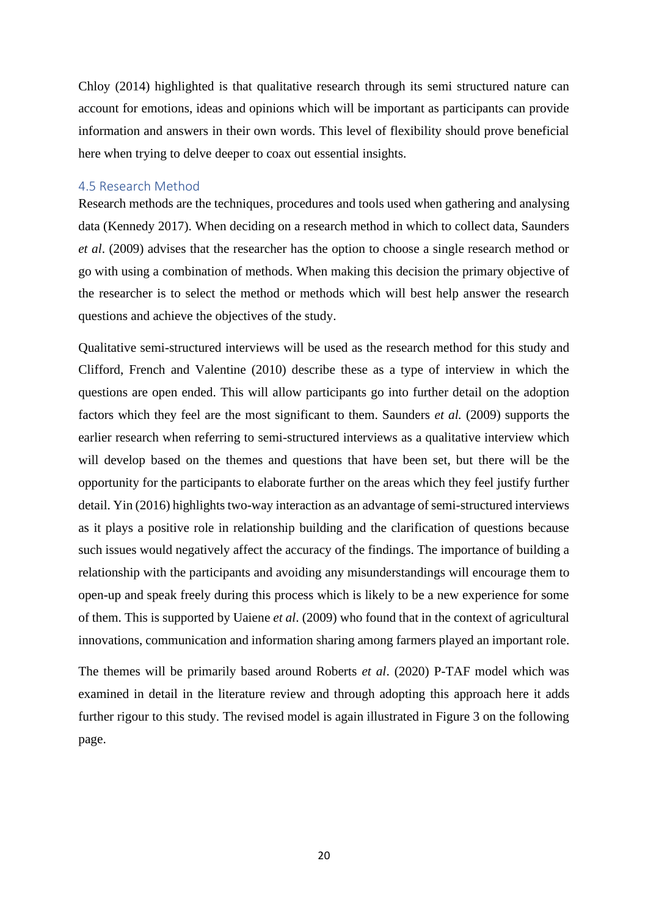Chloy (2014) highlighted is that qualitative research through its semi structured nature can account for emotions, ideas and opinions which will be important as participants can provide information and answers in their own words. This level of flexibility should prove beneficial here when trying to delve deeper to coax out essential insights.

### <span id="page-19-0"></span>4.5 Research Method

Research methods are the techniques, procedures and tools used when gathering and analysing data (Kennedy 2017). When deciding on a research method in which to collect data, Saunders *et al*. (2009) advises that the researcher has the option to choose a single research method or go with using a combination of methods. When making this decision the primary objective of the researcher is to select the method or methods which will best help answer the research questions and achieve the objectives of the study.

Qualitative semi-structured interviews will be used as the research method for this study and Clifford, French and Valentine (2010) describe these as a type of interview in which the questions are open ended. This will allow participants go into further detail on the adoption factors which they feel are the most significant to them. Saunders *et al.* (2009) supports the earlier research when referring to semi-structured interviews as a qualitative interview which will develop based on the themes and questions that have been set, but there will be the opportunity for the participants to elaborate further on the areas which they feel justify further detail. Yin (2016) highlights two-way interaction as an advantage of semi-structured interviews as it plays a positive role in relationship building and the clarification of questions because such issues would negatively affect the accuracy of the findings. The importance of building a relationship with the participants and avoiding any misunderstandings will encourage them to open-up and speak freely during this process which is likely to be a new experience for some of them. This is supported by Uaiene *et al*. (2009) who found that in the context of agricultural innovations, communication and information sharing among farmers played an important role.

The themes will be primarily based around Roberts *et al*. (2020) P-TAF model which was examined in detail in the literature review and through adopting this approach here it adds further rigour to this study. The revised model is again illustrated in Figure 3 on the following page.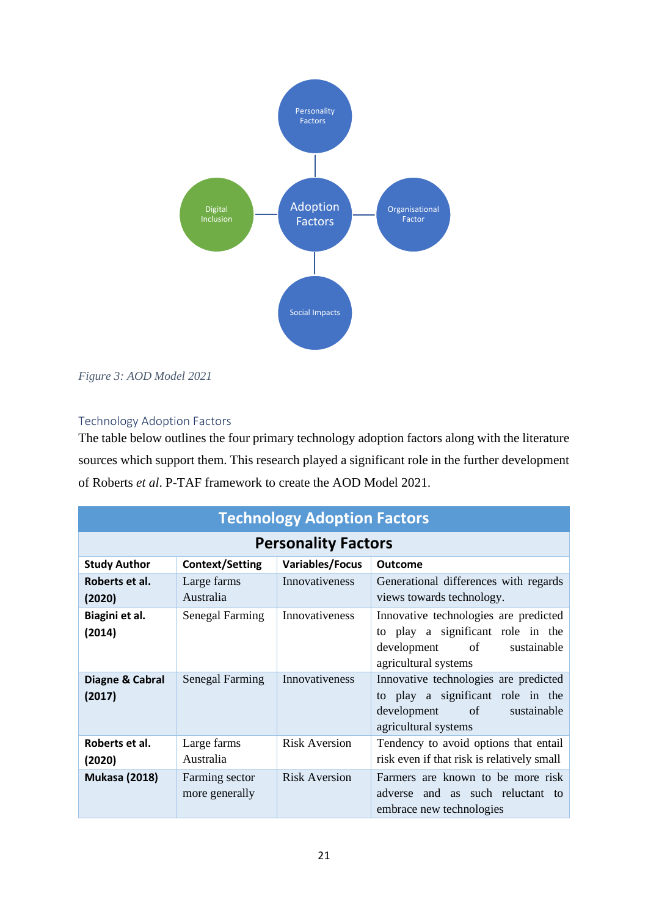

<span id="page-20-1"></span>*Figure 3: AOD Model 2021*

## <span id="page-20-0"></span>Technology Adoption Factors

The table below outlines the four primary technology adoption factors along with the literature sources which support them. This research played a significant role in the further development of Roberts *et al*. P-TAF framework to create the AOD Model 2021.

| <b>Technology Adoption Factors</b> |                                  |                      |                                                                                                                                     |
|------------------------------------|----------------------------------|----------------------|-------------------------------------------------------------------------------------------------------------------------------------|
| <b>Personality Factors</b>         |                                  |                      |                                                                                                                                     |
| <b>Study Author</b>                | <b>Context/Setting</b>           | Variables/Focus      | Outcome                                                                                                                             |
| Roberts et al.<br>(2020)           | Large farms<br>Australia         | Innovativeness       | Generational differences with regards<br>views towards technology.                                                                  |
| Biagini et al.<br>(2014)           | <b>Senegal Farming</b>           | Innovativeness       | Innovative technologies are predicted<br>to play a significant role in the<br>development of<br>sustainable<br>agricultural systems |
| Diagne & Cabral<br>(2017)          | <b>Senegal Farming</b>           | Innovativeness       | Innovative technologies are predicted<br>to play a significant role in the<br>development of<br>sustainable<br>agricultural systems |
| Roberts et al.<br>(2020)           | Large farms<br>Australia         | <b>Risk Aversion</b> | Tendency to avoid options that entail<br>risk even if that risk is relatively small                                                 |
| <b>Mukasa (2018)</b>               | Farming sector<br>more generally | <b>Risk Aversion</b> | Farmers are known to be more risk<br>adverse and as such reluctant to<br>embrace new technologies                                   |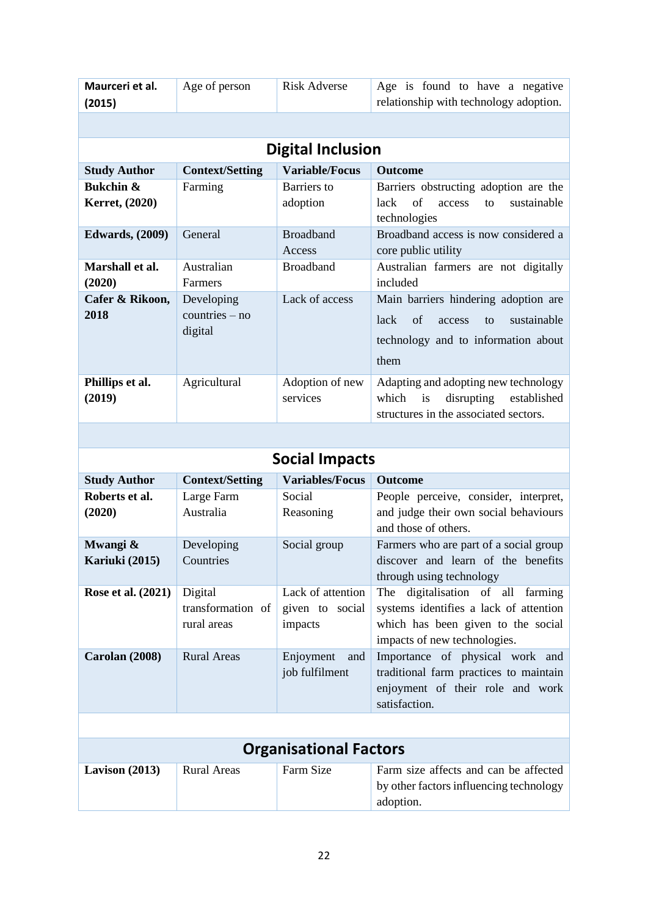| Maurceri et al.<br>(2015)              | Age of person                               | <b>Risk Adverse</b>                             | Age is found to have a negative<br>relationship with technology adoption.                                                                                  |  |
|----------------------------------------|---------------------------------------------|-------------------------------------------------|------------------------------------------------------------------------------------------------------------------------------------------------------------|--|
|                                        |                                             |                                                 |                                                                                                                                                            |  |
|                                        |                                             | <b>Digital Inclusion</b>                        |                                                                                                                                                            |  |
| <b>Study Author</b>                    | <b>Context/Setting</b>                      | <b>Variable/Focus</b>                           | <b>Outcome</b>                                                                                                                                             |  |
| <b>Bukchin &amp;</b><br>Kerret, (2020) | Farming                                     | <b>Barriers</b> to<br>adoption                  | Barriers obstructing adoption are the<br>of<br>sustainable<br>lack<br>access<br>to<br>technologies                                                         |  |
| <b>Edwards</b> , (2009)                | General                                     | <b>Broadband</b><br>Access                      | Broadband access is now considered a<br>core public utility                                                                                                |  |
| Marshall et al.<br>(2020)              | Australian<br>Farmers                       | <b>Broadband</b>                                | Australian farmers are not digitally<br>included                                                                                                           |  |
| Cafer & Rikoon,<br>2018                | Developing<br>$countries - no$<br>digital   | Lack of access                                  | Main barriers hindering adoption are<br>of<br>sustainable<br>lack<br>access<br>to<br>technology and to information about<br>them                           |  |
| Phillips et al.<br>(2019)              | Agricultural                                | Adoption of new<br>services                     | Adapting and adopting new technology<br>disrupting<br>which<br>established<br>is<br>structures in the associated sectors.                                  |  |
|                                        |                                             |                                                 |                                                                                                                                                            |  |
|                                        |                                             | <b>Social Impacts</b>                           |                                                                                                                                                            |  |
| <b>Study Author</b>                    | <b>Context/Setting</b>                      | <b>Variables/Focus</b>                          | Outcome                                                                                                                                                    |  |
| Roberts et al.<br>(2020)               | Large Farm<br>Australia                     | Social<br>Reasoning                             | People perceive, consider, interpret,<br>and judge their own social behaviours<br>and those of others.                                                     |  |
| Mwangi &<br>Kariuki (2015)             | Developing<br>Countries                     | Social group                                    | Farmers who are part of a social group                                                                                                                     |  |
|                                        |                                             |                                                 | discover and learn of the benefits<br>through using technology                                                                                             |  |
| <b>Rose et al. (2021)</b>              | Digital<br>transformation of<br>rural areas | Lack of attention<br>given to social<br>impacts | digitalisation<br>of all<br>The<br>farming<br>systems identifies a lack of attention<br>which has been given to the social<br>impacts of new technologies. |  |
| Carolan (2008)                         | <b>Rural Areas</b>                          | Enjoyment<br>and<br>job fulfilment              | Importance of physical work and<br>traditional farm practices to maintain<br>enjoyment of their role and work<br>satisfaction.                             |  |
|                                        |                                             |                                                 |                                                                                                                                                            |  |
|                                        |                                             | <b>Organisational Factors</b>                   |                                                                                                                                                            |  |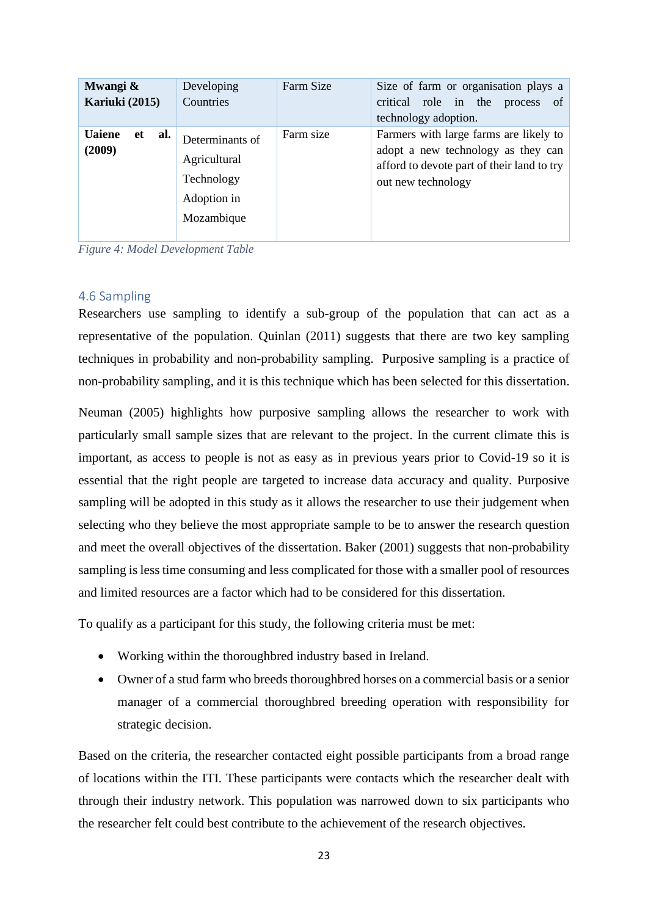| Mwangi &<br>Kariuki (2015) |    |     | Developing<br>Countries                                                    | Farm Size | Size of farm or organisation plays a<br>critical role in the<br><sub>of</sub><br>process<br>technology adoption.                                 |
|----------------------------|----|-----|----------------------------------------------------------------------------|-----------|--------------------------------------------------------------------------------------------------------------------------------------------------|
| <b>Uaiene</b><br>(2009)    | et | al. | Determinants of<br>Agricultural<br>Technology<br>Adoption in<br>Mozambique | Farm size | Farmers with large farms are likely to<br>adopt a new technology as they can<br>afford to devote part of their land to try<br>out new technology |

<span id="page-22-1"></span>*Figure 4: Model Development Table*

#### <span id="page-22-0"></span>4.6 Sampling

Researchers use sampling to identify a sub-group of the population that can act as a representative of the population. Quinlan (2011) suggests that there are two key sampling techniques in probability and non-probability sampling. Purposive sampling is a practice of non-probability sampling, and it is this technique which has been selected for this dissertation.

Neuman (2005) highlights how purposive sampling allows the researcher to work with particularly small sample sizes that are relevant to the project. In the current climate this is important, as access to people is not as easy as in previous years prior to Covid-19 so it is essential that the right people are targeted to increase data accuracy and quality. Purposive sampling will be adopted in this study as it allows the researcher to use their judgement when selecting who they believe the most appropriate sample to be to answer the research question and meet the overall objectives of the dissertation. Baker (2001) suggests that non-probability sampling is less time consuming and less complicated for those with a smaller pool of resources and limited resources are a factor which had to be considered for this dissertation.

To qualify as a participant for this study, the following criteria must be met:

- Working within the thoroughbred industry based in Ireland.
- Owner of a stud farm who breeds thoroughbred horses on a commercial basis or a senior manager of a commercial thoroughbred breeding operation with responsibility for strategic decision.

Based on the criteria, the researcher contacted eight possible participants from a broad range of locations within the ITI. These participants were contacts which the researcher dealt with through their industry network. This population was narrowed down to six participants who the researcher felt could best contribute to the achievement of the research objectives.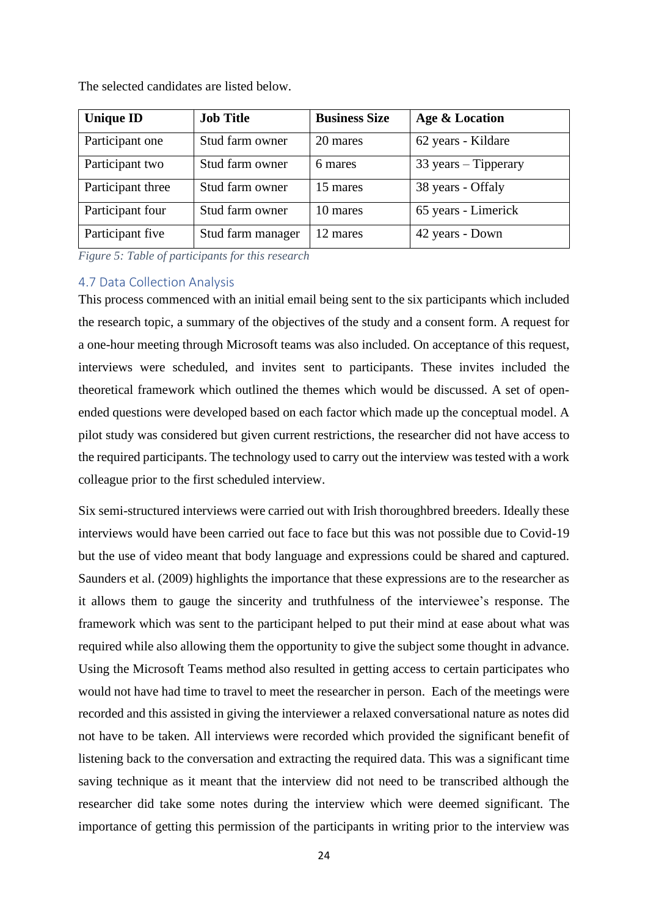| <b>Unique ID</b>  | <b>Job Title</b>  | <b>Business Size</b> | Age & Location                        |
|-------------------|-------------------|----------------------|---------------------------------------|
| Participant one   | Stud farm owner   | 20 mares             | 62 years - Kildare                    |
| Participant two   | Stud farm owner   | 6 mares              | $33 \text{ years} - \text{Tipperary}$ |
| Participant three | Stud farm owner   | 15 mares             | 38 years - Offaly                     |
| Participant four  | Stud farm owner   | 10 mares             | 65 years - Limerick                   |
| Participant five  | Stud farm manager | 12 mares             | 42 years - Down                       |

The selected candidates are listed below.

<span id="page-23-1"></span>*Figure 5: Table of participants for this research*

#### <span id="page-23-0"></span>4.7 Data Collection Analysis

This process commenced with an initial email being sent to the six participants which included the research topic, a summary of the objectives of the study and a consent form. A request for a one-hour meeting through Microsoft teams was also included. On acceptance of this request, interviews were scheduled, and invites sent to participants. These invites included the theoretical framework which outlined the themes which would be discussed. A set of openended questions were developed based on each factor which made up the conceptual model. A pilot study was considered but given current restrictions, the researcher did not have access to the required participants. The technology used to carry out the interview was tested with a work colleague prior to the first scheduled interview.

Six semi-structured interviews were carried out with Irish thoroughbred breeders. Ideally these interviews would have been carried out face to face but this was not possible due to Covid-19 but the use of video meant that body language and expressions could be shared and captured. Saunders et al. (2009) highlights the importance that these expressions are to the researcher as it allows them to gauge the sincerity and truthfulness of the interviewee's response. The framework which was sent to the participant helped to put their mind at ease about what was required while also allowing them the opportunity to give the subject some thought in advance. Using the Microsoft Teams method also resulted in getting access to certain participates who would not have had time to travel to meet the researcher in person. Each of the meetings were recorded and this assisted in giving the interviewer a relaxed conversational nature as notes did not have to be taken. All interviews were recorded which provided the significant benefit of listening back to the conversation and extracting the required data. This was a significant time saving technique as it meant that the interview did not need to be transcribed although the researcher did take some notes during the interview which were deemed significant. The importance of getting this permission of the participants in writing prior to the interview was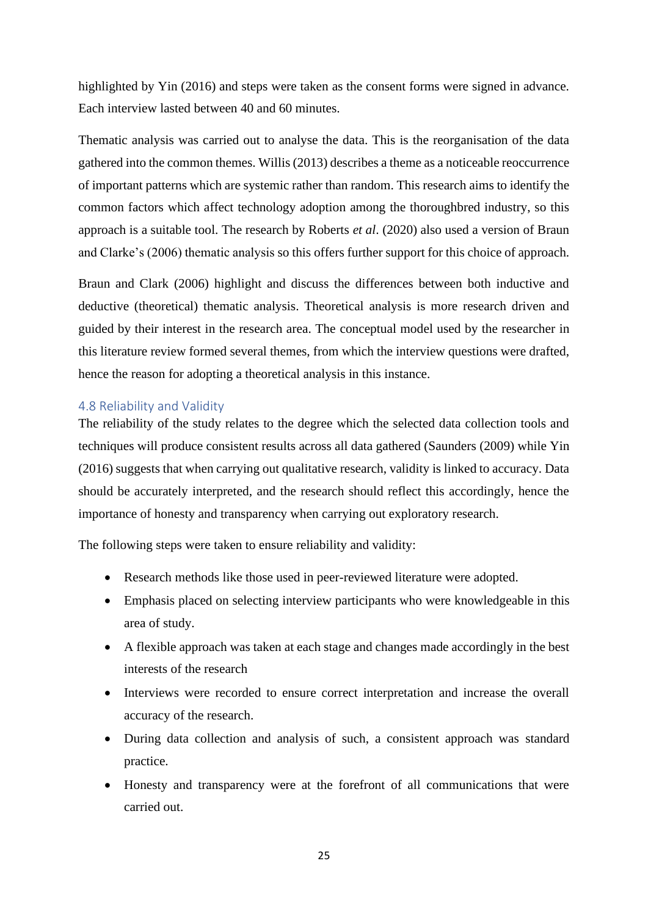highlighted by Yin (2016) and steps were taken as the consent forms were signed in advance. Each interview lasted between 40 and 60 minutes.

Thematic analysis was carried out to analyse the data. This is the reorganisation of the data gathered into the common themes. Willis (2013) describes a theme as a noticeable reoccurrence of important patterns which are systemic rather than random. This research aims to identify the common factors which affect technology adoption among the thoroughbred industry, so this approach is a suitable tool. The research by Roberts *et al*. (2020) also used a version of Braun and Clarke's (2006) thematic analysis so this offers further support for this choice of approach.

Braun and Clark (2006) highlight and discuss the differences between both inductive and deductive (theoretical) thematic analysis. Theoretical analysis is more research driven and guided by their interest in the research area. The conceptual model used by the researcher in this literature review formed several themes, from which the interview questions were drafted, hence the reason for adopting a theoretical analysis in this instance.

## <span id="page-24-0"></span>4.8 Reliability and Validity

The reliability of the study relates to the degree which the selected data collection tools and techniques will produce consistent results across all data gathered (Saunders (2009) while Yin (2016) suggests that when carrying out qualitative research, validity is linked to accuracy. Data should be accurately interpreted, and the research should reflect this accordingly, hence the importance of honesty and transparency when carrying out exploratory research.

The following steps were taken to ensure reliability and validity:

- Research methods like those used in peer-reviewed literature were adopted.
- Emphasis placed on selecting interview participants who were knowledgeable in this area of study.
- A flexible approach was taken at each stage and changes made accordingly in the best interests of the research
- Interviews were recorded to ensure correct interpretation and increase the overall accuracy of the research.
- During data collection and analysis of such, a consistent approach was standard practice.
- Honesty and transparency were at the forefront of all communications that were carried out.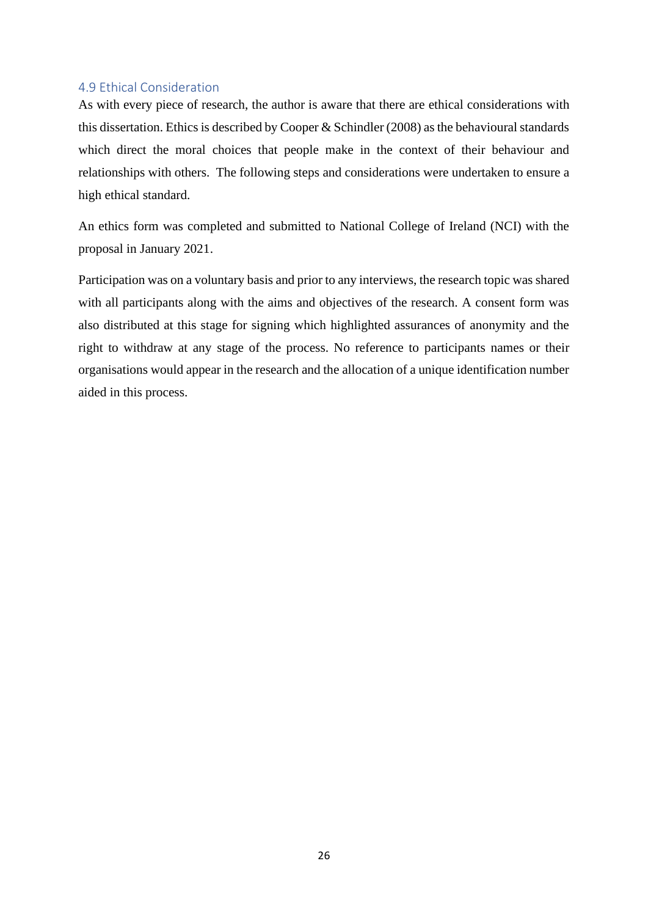### <span id="page-25-0"></span>4.9 Ethical Consideration

As with every piece of research, the author is aware that there are ethical considerations with this dissertation. Ethics is described by Cooper & Schindler (2008) as the behavioural standards which direct the moral choices that people make in the context of their behaviour and relationships with others. The following steps and considerations were undertaken to ensure a high ethical standard.

An ethics form was completed and submitted to National College of Ireland (NCI) with the proposal in January 2021.

Participation was on a voluntary basis and prior to any interviews, the research topic was shared with all participants along with the aims and objectives of the research. A consent form was also distributed at this stage for signing which highlighted assurances of anonymity and the right to withdraw at any stage of the process. No reference to participants names or their organisations would appear in the research and the allocation of a unique identification number aided in this process.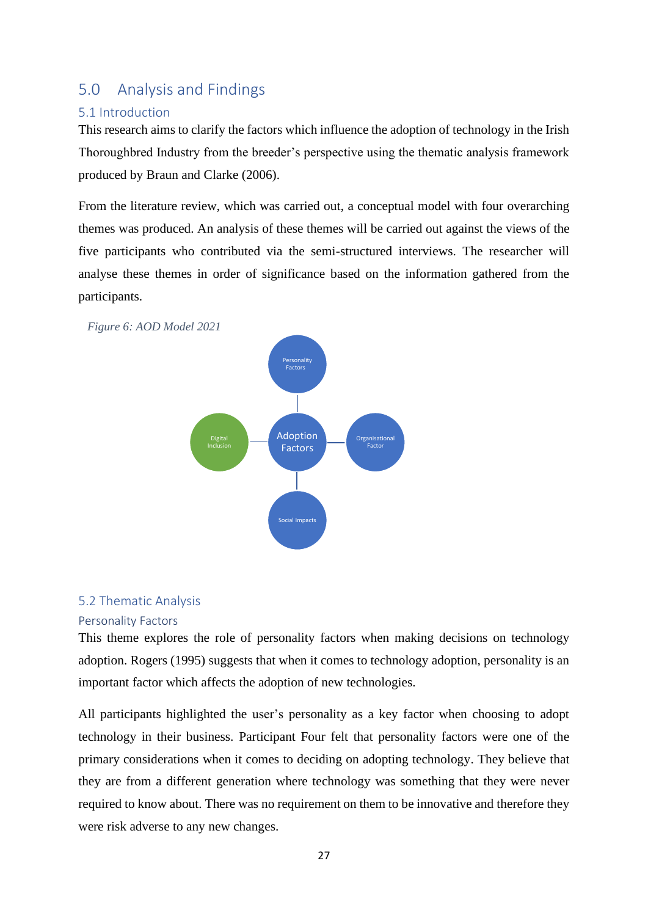## <span id="page-26-0"></span>5.0 Analysis and Findings

## <span id="page-26-1"></span>5.1 Introduction

This research aims to clarify the factors which influence the adoption of technology in the Irish Thoroughbred Industry from the breeder's perspective using the thematic analysis framework produced by Braun and Clarke (2006).

From the literature review, which was carried out, a conceptual model with four overarching themes was produced. An analysis of these themes will be carried out against the views of the five participants who contributed via the semi-structured interviews. The researcher will analyse these themes in order of significance based on the information gathered from the participants.

<span id="page-26-4"></span> *Figure 6: AOD Model 2021*



## <span id="page-26-2"></span>5.2 Thematic Analysis

## <span id="page-26-3"></span>Personality Factors

This theme explores the role of personality factors when making decisions on technology adoption. Rogers (1995) suggests that when it comes to technology adoption, personality is an important factor which affects the adoption of new technologies.

All participants highlighted the user's personality as a key factor when choosing to adopt technology in their business. Participant Four felt that personality factors were one of the primary considerations when it comes to deciding on adopting technology. They believe that they are from a different generation where technology was something that they were never required to know about. There was no requirement on them to be innovative and therefore they were risk adverse to any new changes.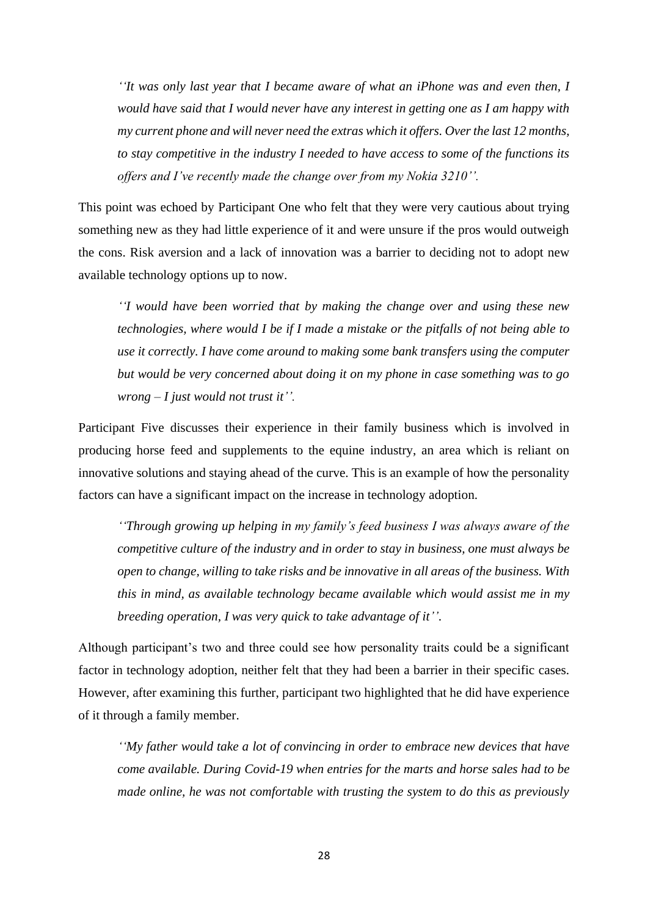*''It was only last year that I became aware of what an iPhone was and even then, I would have said that I would never have any interest in getting one as I am happy with my current phone and will never need the extras which it offers. Over the last 12 months, to stay competitive in the industry I needed to have access to some of the functions its offers and I've recently made the change over from my Nokia 3210''.* 

This point was echoed by Participant One who felt that they were very cautious about trying something new as they had little experience of it and were unsure if the pros would outweigh the cons. Risk aversion and a lack of innovation was a barrier to deciding not to adopt new available technology options up to now.

*''I would have been worried that by making the change over and using these new technologies, where would I be if I made a mistake or the pitfalls of not being able to use it correctly. I have come around to making some bank transfers using the computer but would be very concerned about doing it on my phone in case something was to go wrong – I just would not trust it''.*

Participant Five discusses their experience in their family business which is involved in producing horse feed and supplements to the equine industry, an area which is reliant on innovative solutions and staying ahead of the curve. This is an example of how the personality factors can have a significant impact on the increase in technology adoption.

*''Through growing up helping in my family's feed business I was always aware of the competitive culture of the industry and in order to stay in business, one must always be open to change, willing to take risks and be innovative in all areas of the business. With this in mind, as available technology became available which would assist me in my breeding operation, I was very quick to take advantage of it''*.

Although participant's two and three could see how personality traits could be a significant factor in technology adoption, neither felt that they had been a barrier in their specific cases. However, after examining this further, participant two highlighted that he did have experience of it through a family member.

*''My father would take a lot of convincing in order to embrace new devices that have come available. During Covid-19 when entries for the marts and horse sales had to be made online, he was not comfortable with trusting the system to do this as previously*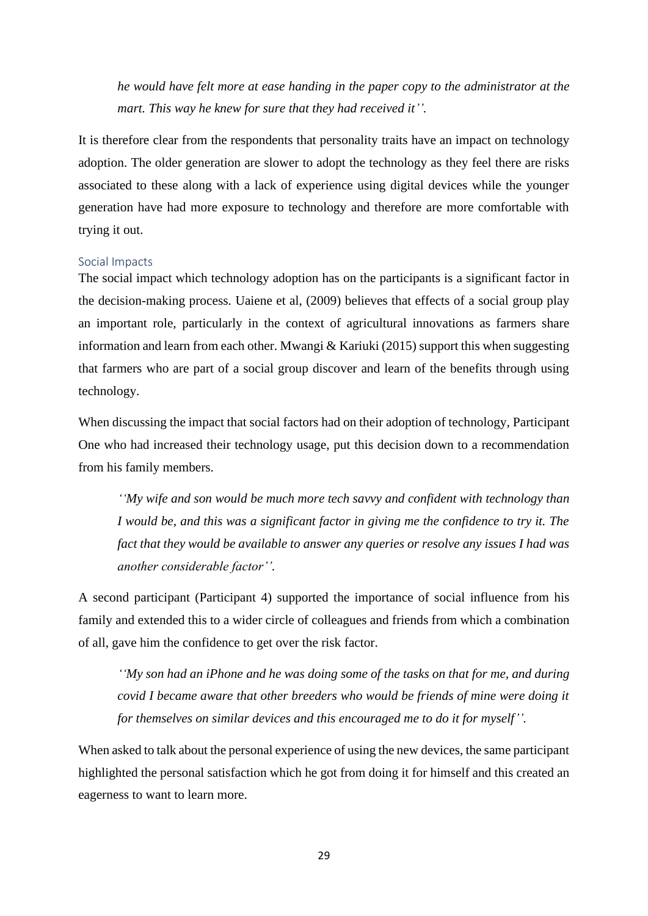*he would have felt more at ease handing in the paper copy to the administrator at the mart. This way he knew for sure that they had received it''.*

It is therefore clear from the respondents that personality traits have an impact on technology adoption. The older generation are slower to adopt the technology as they feel there are risks associated to these along with a lack of experience using digital devices while the younger generation have had more exposure to technology and therefore are more comfortable with trying it out.

#### <span id="page-28-0"></span>Social Impacts

The social impact which technology adoption has on the participants is a significant factor in the decision-making process. Uaiene et al, (2009) believes that effects of a social group play an important role, particularly in the context of agricultural innovations as farmers share information and learn from each other. Mwangi  $&$  Kariuki (2015) support this when suggesting that farmers who are part of a social group discover and learn of the benefits through using technology.

When discussing the impact that social factors had on their adoption of technology, Participant One who had increased their technology usage, put this decision down to a recommendation from his family members*.*

*''My wife and son would be much more tech savvy and confident with technology than I would be, and this was a significant factor in giving me the confidence to try it. The fact that they would be available to answer any queries or resolve any issues I had was another considerable factor''.*

A second participant (Participant 4) supported the importance of social influence from his family and extended this to a wider circle of colleagues and friends from which a combination of all, gave him the confidence to get over the risk factor.

*''My son had an iPhone and he was doing some of the tasks on that for me, and during covid I became aware that other breeders who would be friends of mine were doing it for themselves on similar devices and this encouraged me to do it for myself''.*

When asked to talk about the personal experience of using the new devices, the same participant highlighted the personal satisfaction which he got from doing it for himself and this created an eagerness to want to learn more.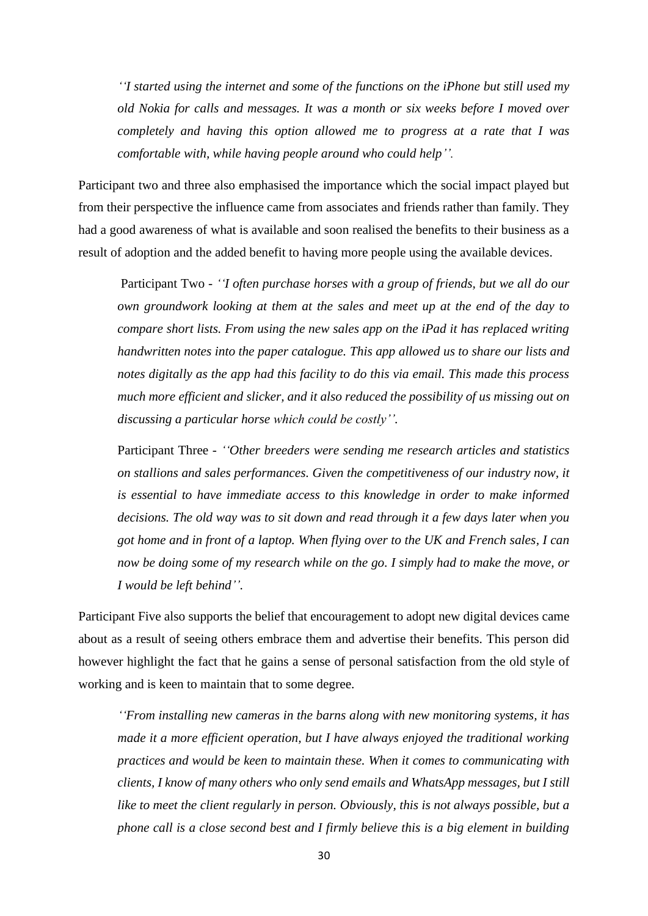*''I started using the internet and some of the functions on the iPhone but still used my old Nokia for calls and messages. It was a month or six weeks before I moved over completely and having this option allowed me to progress at a rate that I was comfortable with, while having people around who could help''.*

Participant two and three also emphasised the importance which the social impact played but from their perspective the influence came from associates and friends rather than family. They had a good awareness of what is available and soon realised the benefits to their business as a result of adoption and the added benefit to having more people using the available devices.

Participant Two - *''I often purchase horses with a group of friends, but we all do our own groundwork looking at them at the sales and meet up at the end of the day to compare short lists. From using the new sales app on the iPad it has replaced writing handwritten notes into the paper catalogue. This app allowed us to share our lists and notes digitally as the app had this facility to do this via email. This made this process much more efficient and slicker, and it also reduced the possibility of us missing out on discussing a particular horse which could be costly''.*

Participant Three - *''Other breeders were sending me research articles and statistics on stallions and sales performances. Given the competitiveness of our industry now, it is essential to have immediate access to this knowledge in order to make informed decisions. The old way was to sit down and read through it a few days later when you got home and in front of a laptop. When flying over to the UK and French sales, I can now be doing some of my research while on the go. I simply had to make the move, or I would be left behind''.* 

Participant Five also supports the belief that encouragement to adopt new digital devices came about as a result of seeing others embrace them and advertise their benefits. This person did however highlight the fact that he gains a sense of personal satisfaction from the old style of working and is keen to maintain that to some degree.

*''From installing new cameras in the barns along with new monitoring systems, it has made it a more efficient operation, but I have always enjoyed the traditional working practices and would be keen to maintain these. When it comes to communicating with clients, I know of many others who only send emails and WhatsApp messages, but I still like to meet the client regularly in person. Obviously, this is not always possible, but a phone call is a close second best and I firmly believe this is a big element in building*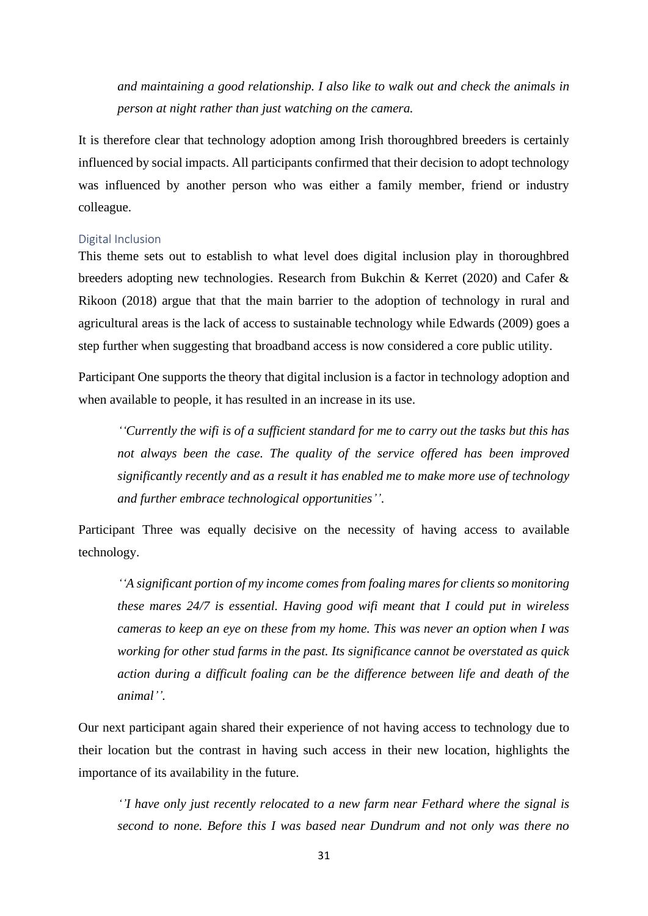*and maintaining a good relationship. I also like to walk out and check the animals in person at night rather than just watching on the camera.* 

It is therefore clear that technology adoption among Irish thoroughbred breeders is certainly influenced by social impacts. All participants confirmed that their decision to adopt technology was influenced by another person who was either a family member, friend or industry colleague.

#### <span id="page-30-0"></span>Digital Inclusion

This theme sets out to establish to what level does digital inclusion play in thoroughbred breeders adopting new technologies. Research from Bukchin & Kerret (2020) and Cafer & Rikoon (2018) argue that that the main barrier to the adoption of technology in rural and agricultural areas is the lack of access to sustainable technology while Edwards (2009) goes a step further when suggesting that broadband access is now considered a core public utility.

Participant One supports the theory that digital inclusion is a factor in technology adoption and when available to people, it has resulted in an increase in its use.

*''Currently the wifi is of a sufficient standard for me to carry out the tasks but this has not always been the case. The quality of the service offered has been improved significantly recently and as a result it has enabled me to make more use of technology and further embrace technological opportunities''*.

Participant Three was equally decisive on the necessity of having access to available technology.

*''A significant portion of my income comes from foaling mares for clients so monitoring these mares 24/7 is essential. Having good wifi meant that I could put in wireless cameras to keep an eye on these from my home. This was never an option when I was working for other stud farms in the past. Its significance cannot be overstated as quick action during a difficult foaling can be the difference between life and death of the animal''.* 

Our next participant again shared their experience of not having access to technology due to their location but the contrast in having such access in their new location, highlights the importance of its availability in the future.

*''I have only just recently relocated to a new farm near Fethard where the signal is second to none. Before this I was based near Dundrum and not only was there no*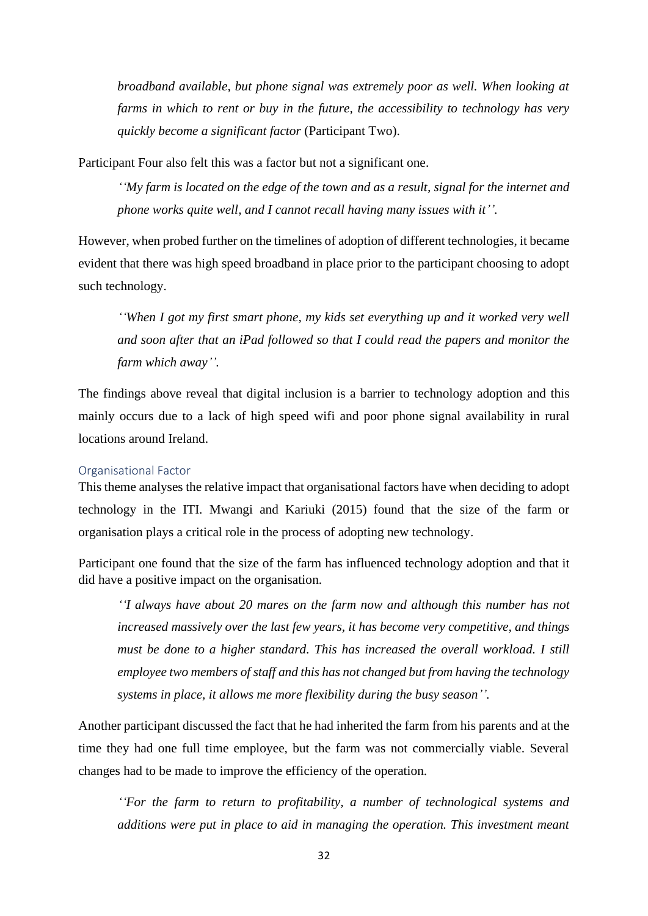*broadband available, but phone signal was extremely poor as well. When looking at farms in which to rent or buy in the future, the accessibility to technology has very quickly become a significant factor* (Participant Two).

Participant Four also felt this was a factor but not a significant one.

*''My farm is located on the edge of the town and as a result, signal for the internet and phone works quite well, and I cannot recall having many issues with it''.*

However, when probed further on the timelines of adoption of different technologies, it became evident that there was high speed broadband in place prior to the participant choosing to adopt such technology.

*''When I got my first smart phone, my kids set everything up and it worked very well and soon after that an iPad followed so that I could read the papers and monitor the farm which away''.*

The findings above reveal that digital inclusion is a barrier to technology adoption and this mainly occurs due to a lack of high speed wifi and poor phone signal availability in rural locations around Ireland.

### <span id="page-31-0"></span>Organisational Factor

This theme analyses the relative impact that organisational factors have when deciding to adopt technology in the ITI. Mwangi and Kariuki (2015) found that the size of the farm or organisation plays a critical role in the process of adopting new technology.

Participant one found that the size of the farm has influenced technology adoption and that it did have a positive impact on the organisation.

*''I always have about 20 mares on the farm now and although this number has not increased massively over the last few years, it has become very competitive, and things must be done to a higher standard. This has increased the overall workload. I still employee two members of staff and this has not changed but from having the technology systems in place, it allows me more flexibility during the busy season''.* 

Another participant discussed the fact that he had inherited the farm from his parents and at the time they had one full time employee, but the farm was not commercially viable. Several changes had to be made to improve the efficiency of the operation.

*''For the farm to return to profitability, a number of technological systems and additions were put in place to aid in managing the operation. This investment meant*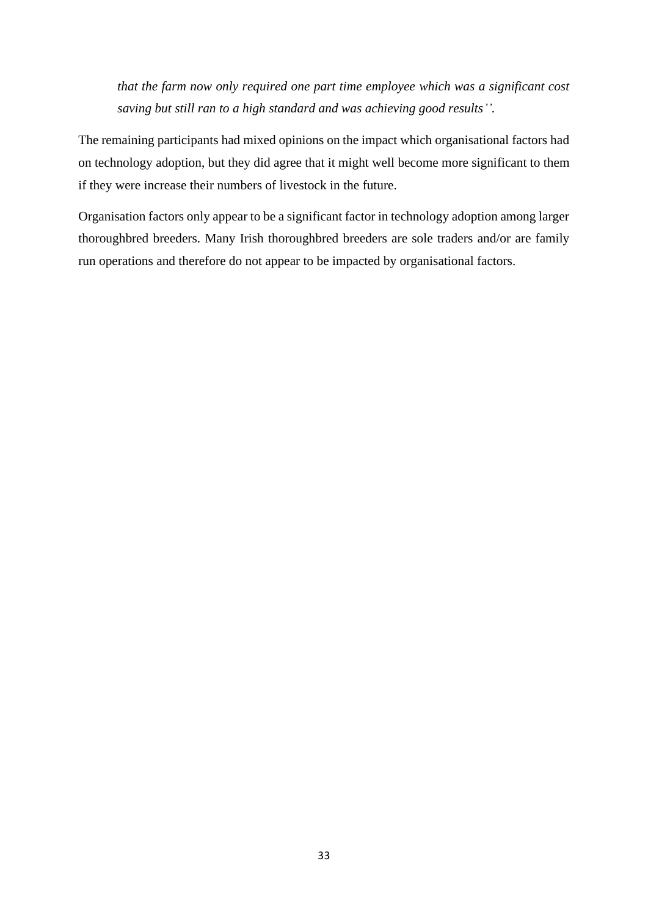*that the farm now only required one part time employee which was a significant cost saving but still ran to a high standard and was achieving good results''.* 

The remaining participants had mixed opinions on the impact which organisational factors had on technology adoption, but they did agree that it might well become more significant to them if they were increase their numbers of livestock in the future.

Organisation factors only appear to be a significant factor in technology adoption among larger thoroughbred breeders. Many Irish thoroughbred breeders are sole traders and/or are family run operations and therefore do not appear to be impacted by organisational factors.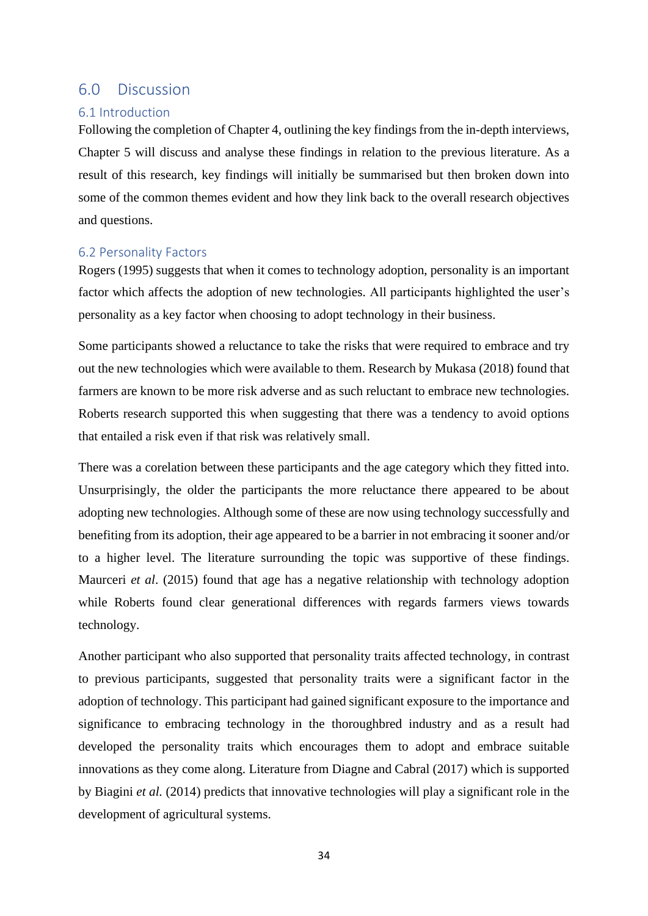## <span id="page-33-0"></span>6.0 Discussion

## <span id="page-33-1"></span>6.1 Introduction

Following the completion of Chapter 4, outlining the key findings from the in-depth interviews, Chapter 5 will discuss and analyse these findings in relation to the previous literature. As a result of this research, key findings will initially be summarised but then broken down into some of the common themes evident and how they link back to the overall research objectives and questions.

## <span id="page-33-2"></span>6.2 Personality Factors

Rogers (1995) suggests that when it comes to technology adoption, personality is an important factor which affects the adoption of new technologies. All participants highlighted the user's personality as a key factor when choosing to adopt technology in their business.

Some participants showed a reluctance to take the risks that were required to embrace and try out the new technologies which were available to them. Research by Mukasa (2018) found that farmers are known to be more risk adverse and as such reluctant to embrace new technologies. Roberts research supported this when suggesting that there was a tendency to avoid options that entailed a risk even if that risk was relatively small.

There was a corelation between these participants and the age category which they fitted into. Unsurprisingly, the older the participants the more reluctance there appeared to be about adopting new technologies. Although some of these are now using technology successfully and benefiting from its adoption, their age appeared to be a barrier in not embracing it sooner and/or to a higher level. The literature surrounding the topic was supportive of these findings. Maurceri *et al*. (2015) found that age has a negative relationship with technology adoption while Roberts found clear generational differences with regards farmers views towards technology.

Another participant who also supported that personality traits affected technology, in contrast to previous participants, suggested that personality traits were a significant factor in the adoption of technology. This participant had gained significant exposure to the importance and significance to embracing technology in the thoroughbred industry and as a result had developed the personality traits which encourages them to adopt and embrace suitable innovations as they come along. Literature from Diagne and Cabral (2017) which is supported by Biagini *et al.* (2014) predicts that innovative technologies will play a significant role in the development of agricultural systems.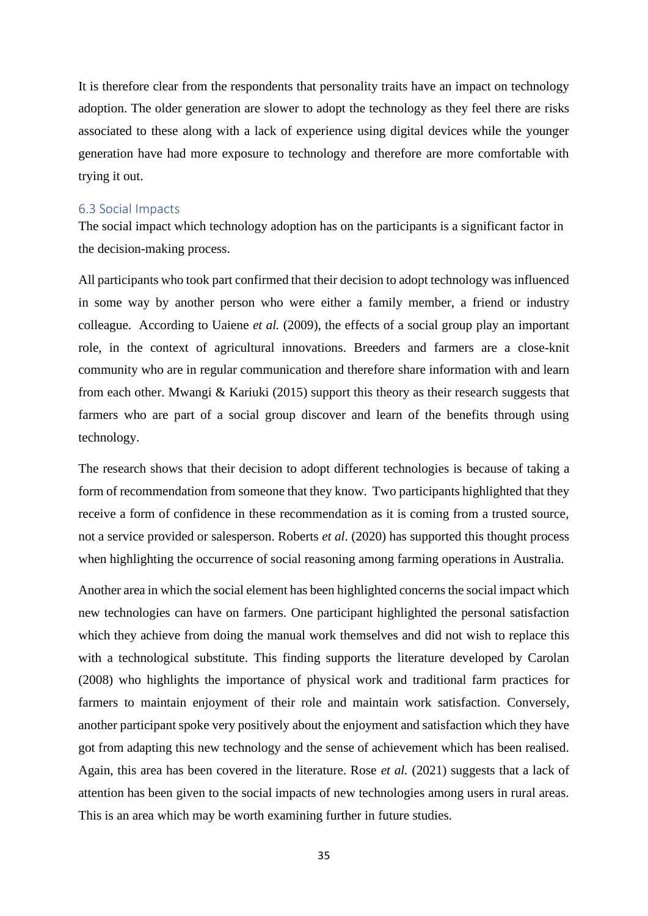It is therefore clear from the respondents that personality traits have an impact on technology adoption. The older generation are slower to adopt the technology as they feel there are risks associated to these along with a lack of experience using digital devices while the younger generation have had more exposure to technology and therefore are more comfortable with trying it out.

## <span id="page-34-0"></span>6.3 Social Impacts

The social impact which technology adoption has on the participants is a significant factor in the decision-making process.

All participants who took part confirmed that their decision to adopt technology was influenced in some way by another person who were either a family member, a friend or industry colleague. According to Uaiene *et al.* (2009), the effects of a social group play an important role, in the context of agricultural innovations. Breeders and farmers are a close-knit community who are in regular communication and therefore share information with and learn from each other. Mwangi & Kariuki (2015) support this theory as their research suggests that farmers who are part of a social group discover and learn of the benefits through using technology.

The research shows that their decision to adopt different technologies is because of taking a form of recommendation from someone that they know. Two participants highlighted that they receive a form of confidence in these recommendation as it is coming from a trusted source, not a service provided or salesperson. Roberts *et al*. (2020) has supported this thought process when highlighting the occurrence of social reasoning among farming operations in Australia.

Another area in which the social element has been highlighted concerns the social impact which new technologies can have on farmers. One participant highlighted the personal satisfaction which they achieve from doing the manual work themselves and did not wish to replace this with a technological substitute. This finding supports the literature developed by Carolan (2008) who highlights the importance of physical work and traditional farm practices for farmers to maintain enjoyment of their role and maintain work satisfaction. Conversely, another participant spoke very positively about the enjoyment and satisfaction which they have got from adapting this new technology and the sense of achievement which has been realised. Again, this area has been covered in the literature. Rose *et al.* (2021) suggests that a lack of attention has been given to the social impacts of new technologies among users in rural areas. This is an area which may be worth examining further in future studies.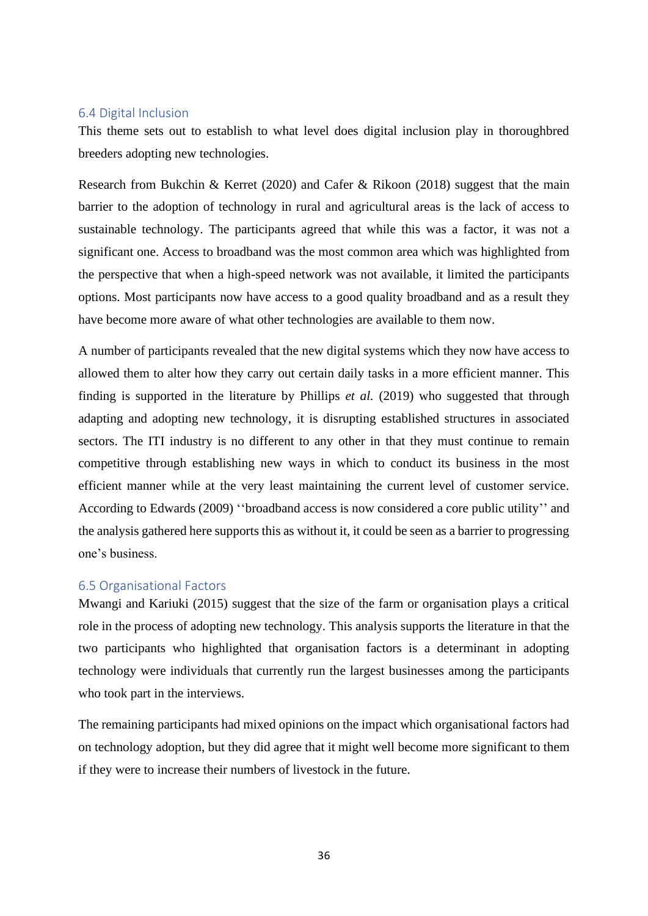#### <span id="page-35-0"></span>6.4 Digital Inclusion

This theme sets out to establish to what level does digital inclusion play in thoroughbred breeders adopting new technologies.

Research from Bukchin & Kerret (2020) and Cafer & Rikoon (2018) suggest that the main barrier to the adoption of technology in rural and agricultural areas is the lack of access to sustainable technology. The participants agreed that while this was a factor, it was not a significant one. Access to broadband was the most common area which was highlighted from the perspective that when a high-speed network was not available, it limited the participants options. Most participants now have access to a good quality broadband and as a result they have become more aware of what other technologies are available to them now.

A number of participants revealed that the new digital systems which they now have access to allowed them to alter how they carry out certain daily tasks in a more efficient manner. This finding is supported in the literature by Phillips *et al.* (2019) who suggested that through adapting and adopting new technology, it is disrupting established structures in associated sectors. The ITI industry is no different to any other in that they must continue to remain competitive through establishing new ways in which to conduct its business in the most efficient manner while at the very least maintaining the current level of customer service. According to Edwards (2009) ''broadband access is now considered a core public utility'' and the analysis gathered here supports this as without it, it could be seen as a barrier to progressing one's business.

#### <span id="page-35-1"></span>6.5 Organisational Factors

Mwangi and Kariuki (2015) suggest that the size of the farm or organisation plays a critical role in the process of adopting new technology. This analysis supports the literature in that the two participants who highlighted that organisation factors is a determinant in adopting technology were individuals that currently run the largest businesses among the participants who took part in the interviews.

The remaining participants had mixed opinions on the impact which organisational factors had on technology adoption, but they did agree that it might well become more significant to them if they were to increase their numbers of livestock in the future.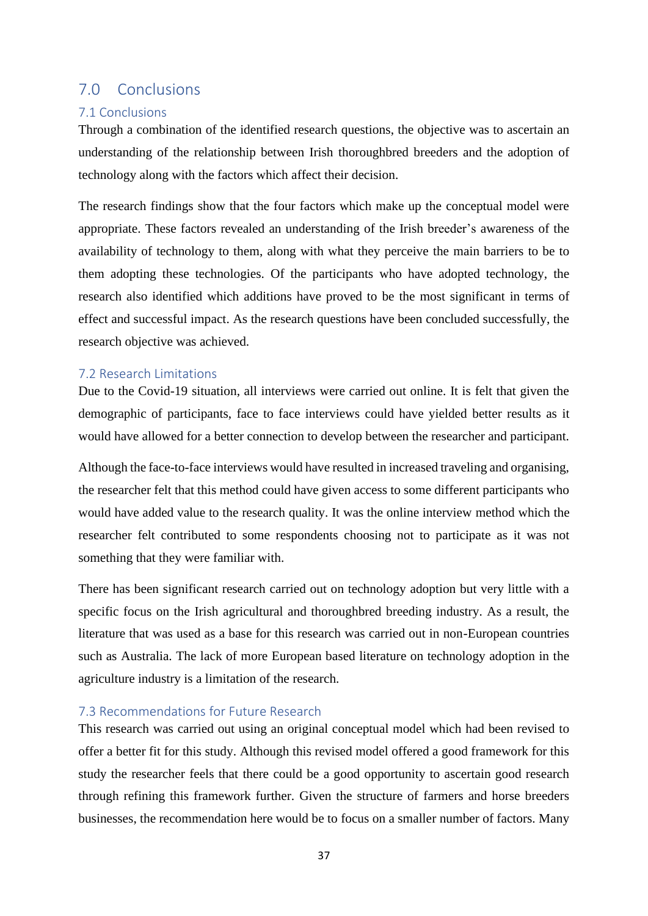## <span id="page-36-0"></span>7.0 Conclusions

## <span id="page-36-1"></span>7.1 Conclusions

Through a combination of the identified research questions, the objective was to ascertain an understanding of the relationship between Irish thoroughbred breeders and the adoption of technology along with the factors which affect their decision.

The research findings show that the four factors which make up the conceptual model were appropriate. These factors revealed an understanding of the Irish breeder's awareness of the availability of technology to them, along with what they perceive the main barriers to be to them adopting these technologies. Of the participants who have adopted technology, the research also identified which additions have proved to be the most significant in terms of effect and successful impact. As the research questions have been concluded successfully, the research objective was achieved.

## <span id="page-36-2"></span>7.2 Research Limitations

Due to the Covid-19 situation, all interviews were carried out online. It is felt that given the demographic of participants, face to face interviews could have yielded better results as it would have allowed for a better connection to develop between the researcher and participant.

Although the face-to-face interviews would have resulted in increased traveling and organising, the researcher felt that this method could have given access to some different participants who would have added value to the research quality. It was the online interview method which the researcher felt contributed to some respondents choosing not to participate as it was not something that they were familiar with.

There has been significant research carried out on technology adoption but very little with a specific focus on the Irish agricultural and thoroughbred breeding industry. As a result, the literature that was used as a base for this research was carried out in non-European countries such as Australia. The lack of more European based literature on technology adoption in the agriculture industry is a limitation of the research.

## <span id="page-36-3"></span>7.3 Recommendations for Future Research

This research was carried out using an original conceptual model which had been revised to offer a better fit for this study. Although this revised model offered a good framework for this study the researcher feels that there could be a good opportunity to ascertain good research through refining this framework further. Given the structure of farmers and horse breeders businesses, the recommendation here would be to focus on a smaller number of factors. Many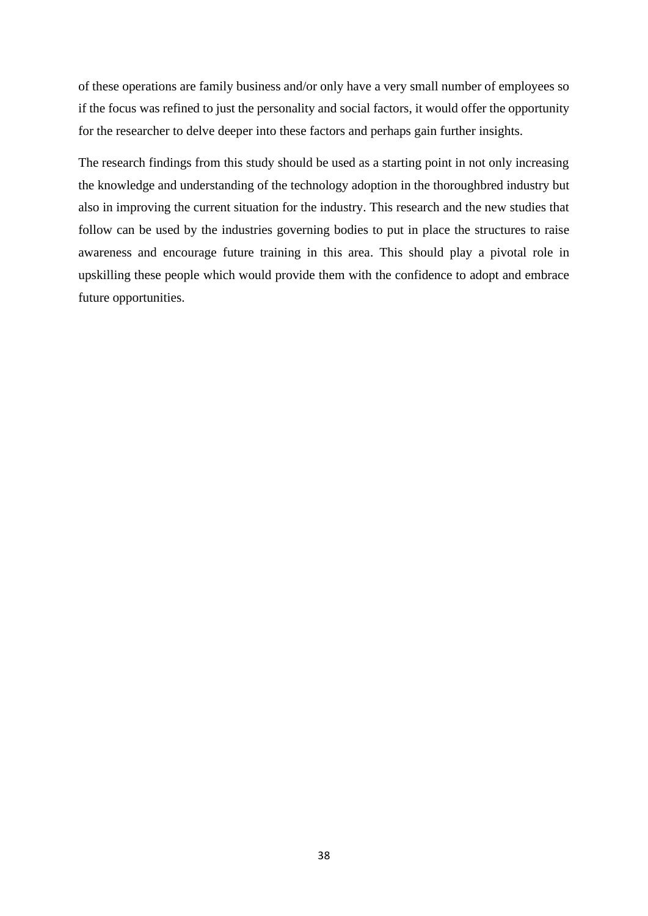of these operations are family business and/or only have a very small number of employees so if the focus was refined to just the personality and social factors, it would offer the opportunity for the researcher to delve deeper into these factors and perhaps gain further insights.

The research findings from this study should be used as a starting point in not only increasing the knowledge and understanding of the technology adoption in the thoroughbred industry but also in improving the current situation for the industry. This research and the new studies that follow can be used by the industries governing bodies to put in place the structures to raise awareness and encourage future training in this area. This should play a pivotal role in upskilling these people which would provide them with the confidence to adopt and embrace future opportunities.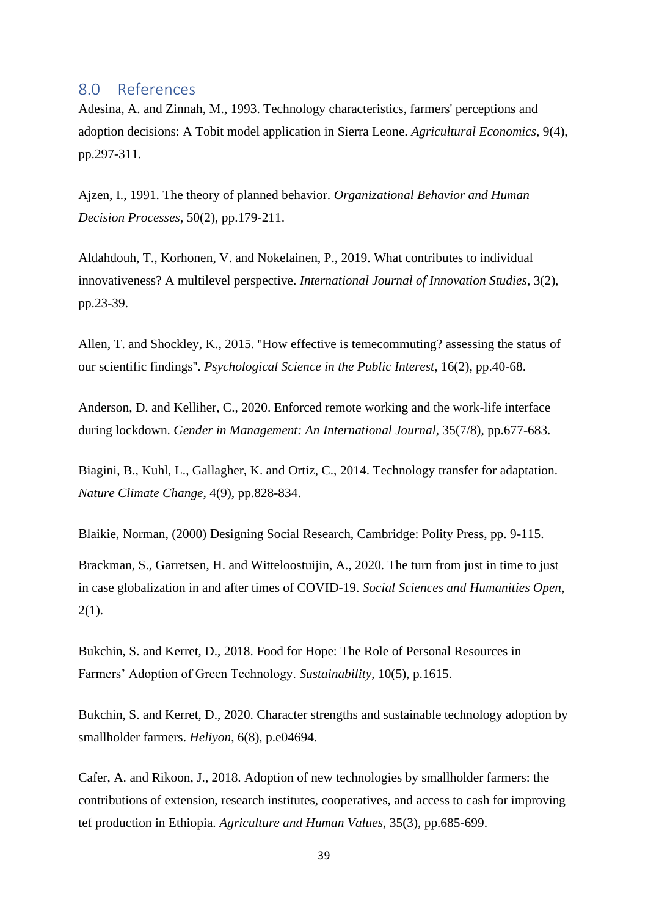## <span id="page-38-0"></span>8.0 References

Adesina, A. and Zinnah, M., 1993. Technology characteristics, farmers' perceptions and adoption decisions: A Tobit model application in Sierra Leone. *Agricultural Economics*, 9(4), pp.297-311.

Ajzen, I., 1991. The theory of planned behavior. *Organizational Behavior and Human Decision Processes*, 50(2), pp.179-211.

Aldahdouh, T., Korhonen, V. and Nokelainen, P., 2019. What contributes to individual innovativeness? A multilevel perspective. *International Journal of Innovation Studies*, 3(2), pp.23-39.

Allen, T. and Shockley, K., 2015. ''How effective is temecommuting? assessing the status of our scientific findings''. *Psychological Science in the Public Interest*, 16(2), pp.40-68.

Anderson, D. and Kelliher, C., 2020. Enforced remote working and the work-life interface during lockdown. *Gender in Management: An International Journal*, 35(7/8), pp.677-683.

Biagini, B., Kuhl, L., Gallagher, K. and Ortiz, C., 2014. Technology transfer for adaptation. *Nature Climate Change*, 4(9), pp.828-834.

Blaikie, Norman, (2000) Designing Social Research, Cambridge: Polity Press, pp. 9-115.

Brackman, S., Garretsen, H. and Witteloostuijin, A., 2020. The turn from just in time to just in case globalization in and after times of COVID-19. *Social Sciences and Humanities Open*,  $2(1)$ .

Bukchin, S. and Kerret, D., 2018. Food for Hope: The Role of Personal Resources in Farmers' Adoption of Green Technology. *Sustainability*, 10(5), p.1615.

Bukchin, S. and Kerret, D., 2020. Character strengths and sustainable technology adoption by smallholder farmers. *Heliyon*, 6(8), p.e04694.

Cafer, A. and Rikoon, J., 2018. Adoption of new technologies by smallholder farmers: the contributions of extension, research institutes, cooperatives, and access to cash for improving tef production in Ethiopia. *Agriculture and Human Values*, 35(3), pp.685-699.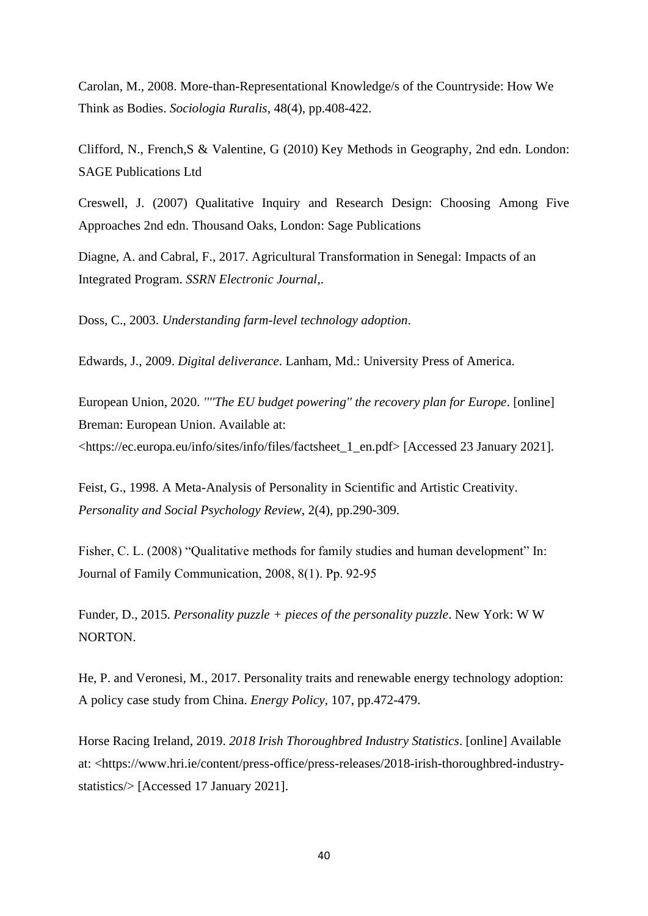Carolan, M., 2008. More-than-Representational Knowledge/s of the Countryside: How We Think as Bodies. *Sociologia Ruralis*, 48(4), pp.408-422.

Clifford, N., French,S & Valentine, G (2010) Key Methods in Geography, 2nd edn. London: SAGE Publications Ltd

Creswell, J. (2007) Qualitative Inquiry and Research Design: Choosing Among Five Approaches 2nd edn. Thousand Oaks, London: Sage Publications

Diagne, A. and Cabral, F., 2017. Agricultural Transformation in Senegal: Impacts of an Integrated Program. *SSRN Electronic Journal*,.

Doss, C., 2003. *Understanding farm-level technology adoption*.

Edwards, J., 2009. *Digital deliverance*. Lanham, Md.: University Press of America.

European Union, 2020. *''''The EU budget powering'' the recovery plan for Europe*. [online] Breman: European Union. Available at: <https://ec.europa.eu/info/sites/info/files/factsheet\_1\_en.pdf> [Accessed 23 January 2021].

Feist, G., 1998. A Meta-Analysis of Personality in Scientific and Artistic Creativity. *Personality and Social Psychology Review*, 2(4), pp.290-309.

Fisher, C. L. (2008) "Qualitative methods for family studies and human development" In: Journal of Family Communication, 2008, 8(1). Pp. 92‐95

Funder, D., 2015. *Personality puzzle + pieces of the personality puzzle*. New York: W W NORTON.

He, P. and Veronesi, M., 2017. Personality traits and renewable energy technology adoption: A policy case study from China. *Energy Policy*, 107, pp.472-479.

Horse Racing Ireland, 2019. *2018 Irish Thoroughbred Industry Statistics*. [online] Available at: <https://www.hri.ie/content/press-office/press-releases/2018-irish-thoroughbred-industrystatistics/> [Accessed 17 January 2021].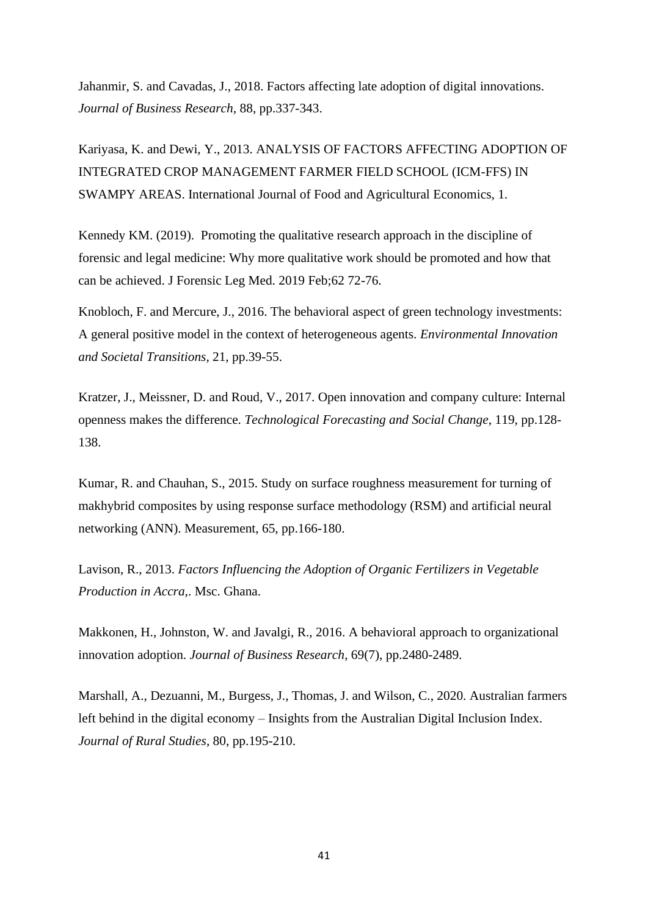Jahanmir, S. and Cavadas, J., 2018. Factors affecting late adoption of digital innovations. *Journal of Business Research*, 88, pp.337-343.

Kariyasa, K. and Dewi, Y., 2013. ANALYSIS OF FACTORS AFFECTING ADOPTION OF INTEGRATED CROP MANAGEMENT FARMER FIELD SCHOOL (ICM-FFS) IN SWAMPY AREAS. International Journal of Food and Agricultural Economics, 1.

Kennedy KM. (2019). Promoting the qualitative research approach in the discipline of forensic and legal medicine: Why more qualitative work should be promoted and how that can be achieved. J Forensic Leg Med. 2019 Feb;62 72-76.

Knobloch, F. and Mercure, J., 2016. The behavioral aspect of green technology investments: A general positive model in the context of heterogeneous agents. *Environmental Innovation and Societal Transitions*, 21, pp.39-55.

Kratzer, J., Meissner, D. and Roud, V., 2017. Open innovation and company culture: Internal openness makes the difference. *Technological Forecasting and Social Change*, 119, pp.128- 138.

Kumar, R. and Chauhan, S., 2015. Study on surface roughness measurement for turning of makhybrid composites by using response surface methodology (RSM) and artificial neural networking (ANN). Measurement, 65, pp.166-180.

Lavison, R., 2013. *Factors Influencing the Adoption of Organic Fertilizers in Vegetable Production in Accra,*. Msc. Ghana.

Makkonen, H., Johnston, W. and Javalgi, R., 2016. A behavioral approach to organizational innovation adoption. *Journal of Business Research*, 69(7), pp.2480-2489.

Marshall, A., Dezuanni, M., Burgess, J., Thomas, J. and Wilson, C., 2020. Australian farmers left behind in the digital economy – Insights from the Australian Digital Inclusion Index. *Journal of Rural Studies*, 80, pp.195-210.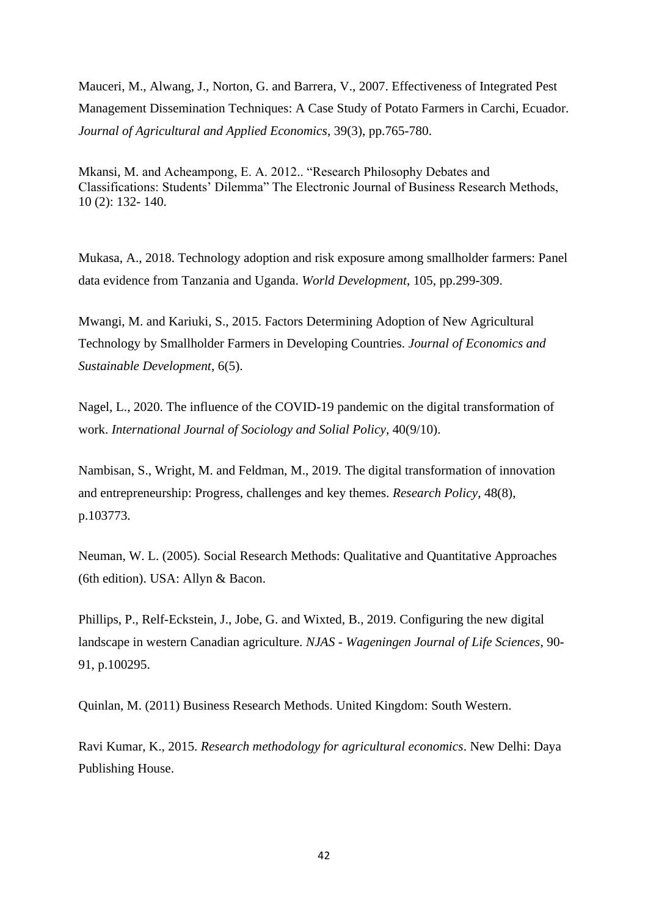Mauceri, M., Alwang, J., Norton, G. and Barrera, V., 2007. Effectiveness of Integrated Pest Management Dissemination Techniques: A Case Study of Potato Farmers in Carchi, Ecuador. *Journal of Agricultural and Applied Economics*, 39(3), pp.765-780.

Mkansi, M. and Acheampong, E. A. 2012.. "Research Philosophy Debates and Classifications: Students' Dilemma" The Electronic Journal of Business Research Methods, 10 (2): 132- 140.

Mukasa, A., 2018. Technology adoption and risk exposure among smallholder farmers: Panel data evidence from Tanzania and Uganda. *World Development*, 105, pp.299-309.

Mwangi, M. and Kariuki, S., 2015. Factors Determining Adoption of New Agricultural Technology by Smallholder Farmers in Developing Countries. *Journal of Economics and Sustainable Development*, 6(5).

Nagel, L., 2020. The influence of the COVID-19 pandemic on the digital transformation of work. *International Journal of Sociology and Solial Policy*, 40(9/10).

Nambisan, S., Wright, M. and Feldman, M., 2019. The digital transformation of innovation and entrepreneurship: Progress, challenges and key themes. *Research Policy*, 48(8), p.103773.

Neuman, W. L. (2005). Social Research Methods: Qualitative and Quantitative Approaches (6th edition). USA: Allyn & Bacon.

Phillips, P., Relf-Eckstein, J., Jobe, G. and Wixted, B., 2019. Configuring the new digital landscape in western Canadian agriculture. *NJAS - Wageningen Journal of Life Sciences*, 90- 91, p.100295.

Quinlan, M. (2011) Business Research Methods. United Kingdom: South Western.

Ravi Kumar, K., 2015. *Research methodology for agricultural economics*. New Delhi: Daya Publishing House.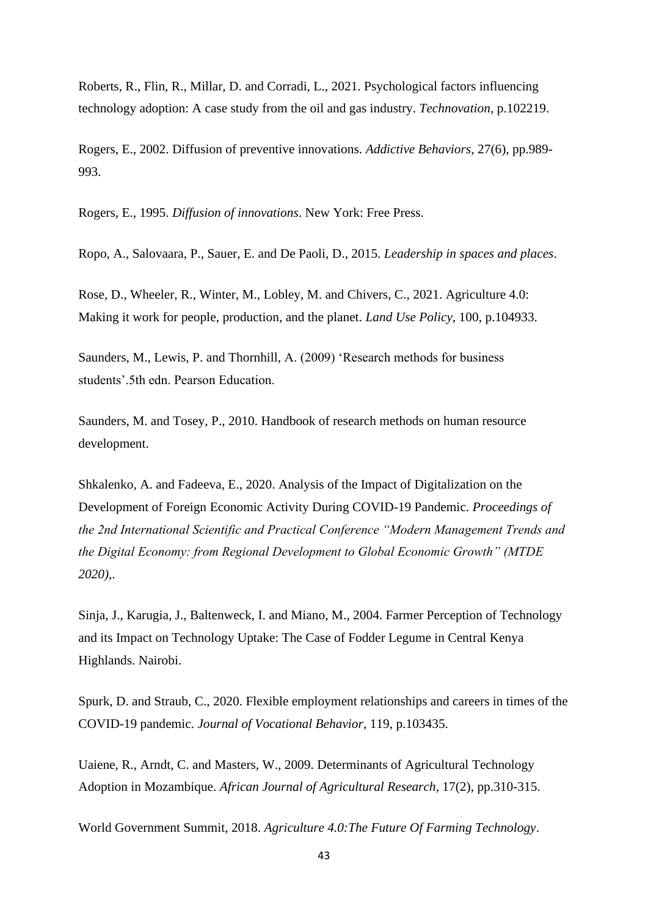Roberts, R., Flin, R., Millar, D. and Corradi, L., 2021. Psychological factors influencing technology adoption: A case study from the oil and gas industry. *Technovation*, p.102219.

Rogers, E., 2002. Diffusion of preventive innovations. *Addictive Behaviors*, 27(6), pp.989- 993.

Rogers, E., 1995. *Diffusion of innovations*. New York: Free Press.

Ropo, A., Salovaara, P., Sauer, E. and De Paoli, D., 2015. *Leadership in spaces and places*.

Rose, D., Wheeler, R., Winter, M., Lobley, M. and Chivers, C., 2021. Agriculture 4.0: Making it work for people, production, and the planet. *Land Use Policy*, 100, p.104933.

Saunders, M., Lewis, P. and Thornhill, A. (2009) 'Research methods for business students'.5th edn. Pearson Education.

Saunders, M. and Tosey, P., 2010. Handbook of research methods on human resource development.

Shkalenko, A. and Fadeeva, E., 2020. Analysis of the Impact of Digitalization on the Development of Foreign Economic Activity During COVID-19 Pandemic. *Proceedings of the 2nd International Scientific and Practical Conference "Modern Management Trends and the Digital Economy: from Regional Development to Global Economic Growth" (MTDE 2020)*,.

Sinja, J., Karugia, J., Baltenweck, I. and Miano, M., 2004. Farmer Perception of Technology and its Impact on Technology Uptake: The Case of Fodder Legume in Central Kenya Highlands. Nairobi.

Spurk, D. and Straub, C., 2020. Flexible employment relationships and careers in times of the COVID-19 pandemic. *Journal of Vocational Behavior*, 119, p.103435.

Uaiene, R., Arndt, C. and Masters, W., 2009. Determinants of Agricultural Technology Adoption in Mozambique. *African Journal of Agricultural Research*, 17(2), pp.310-315.

World Government Summit, 2018. *Agriculture 4.0:The Future Of Farming Technology*.